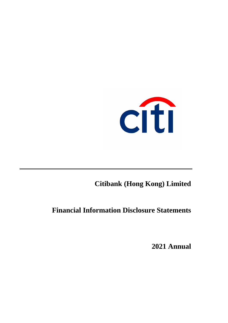

# **Citibank (Hong Kong) Limited**

**Financial Information Disclosure Statements**

**2021 Annual**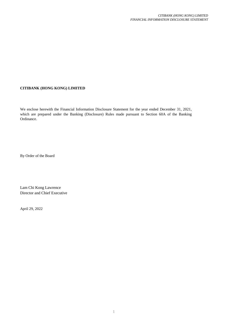# **CITIBANK (HONG KONG) LIMITED**

We enclose herewith the Financial Information Disclosure Statement for the year ended December 31, 2021, which are prepared under the Banking (Disclosure) Rules made pursuant to Section 60A of the Banking Ordinance.

By Order of the Board

Lam Chi Kong Lawrence Director and Chief Executive

April 29, 2022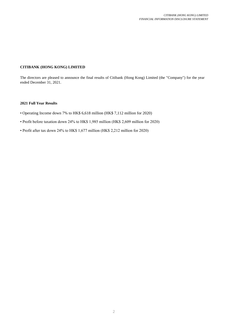# **CITIBANK (HONG KONG) LIMITED**

The directors are pleased to announce the final results of Citibank (Hong Kong) Limited (the "Company") for the year ended December 31, 2021.

# **2021 Full Year Results**

- Operating Income down 7% to HK\$ 6,618 million (HK\$ 7,112 million for 2020)
- Profit before taxation down 24% to HK\$ 1,985 million (HK\$ 2,609 million for 2020)
- Profit after tax down 24% to HK\$ 1,677 million (HK\$ 2,212 million for 2020)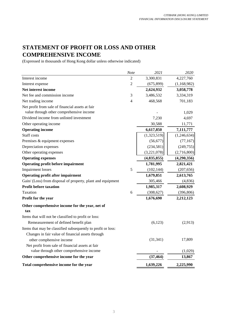# **STATEMENT OF PROFIT OR LOSS AND OTHER COMPREHENSIVE INCOME**

(Expressed in thousands of Hong Kong dollar unless otherwise indicated)

|                                                                                      | Note           | 2021        | 2020        |
|--------------------------------------------------------------------------------------|----------------|-------------|-------------|
| Interest income                                                                      | $\overline{2}$ | 3,300,831   | 4,227,760   |
| Interest expense                                                                     | $\overline{2}$ | (675, 899)  | (1,168,982) |
| Net interest income                                                                  |                | 2,624,932   | 3,058,778   |
| Net fee and commission income                                                        | 3              | 3,486,532   | 3,334,319   |
| Net trading income                                                                   | $\overline{4}$ | 468,568     | 701,183     |
| Net profit from sale of financial assets at fair                                     |                |             |             |
| value through other comprehensive income<br>Dividend income from unlisted investment |                |             | 1,029       |
|                                                                                      |                | 7,230       | 4,697       |
| Other operating income                                                               |                | 30,588      | 11,771      |
| <b>Operating income</b>                                                              |                | 6,617,850   | 7,111,777   |
| Staff costs                                                                          |                | (1,323,519) | (1,246,634) |
| Premises & equipment expenses                                                        |                | (56, 677)   | (77, 167)   |
| Depreciation expenses                                                                |                | (234, 581)  | (249, 755)  |
| Other operating expenses                                                             |                | (3,221,078) | (2,716,800) |
| <b>Operating expenses</b>                                                            |                | (4,835,855) | (4,290,356) |
| <b>Operating profit before impairment</b>                                            |                | 1,781,995   | 2,821,421   |
| <b>Impairment</b> losses                                                             | 5              | (102, 144)  | (207, 656)  |
| <b>Operating profit after impairment</b>                                             |                | 1,679,851   | 2,613,765   |
| Gain/ (Loss) from disposal of property, plant and equipment                          |                | 305,466     | (4,836)     |
| <b>Profit before taxation</b>                                                        |                | 1,985,317   | 2,608,929   |
| Taxation                                                                             | 6              | (308, 627)  | (396, 806)  |
| Profit for the year                                                                  |                | 1,676,690   | 2,212,123   |
| Other comprehensive income for the year, net of                                      |                |             |             |
| tax                                                                                  |                |             |             |
| Items that will not be classified to profit or loss:                                 |                |             |             |
| Remeasurement of defined benefit plan                                                |                | (6,123)     | (2,913)     |
| Items that may be classified subsequently to profit or loss:                         |                |             |             |
| Changes in fair value of financial assets through                                    |                |             |             |
| other comphensive income                                                             |                | (31, 341)   | 17,809      |
| Net profit from sale of financial assets at fair                                     |                |             |             |
| value through other comprehensive income                                             |                |             | (1,029)     |
| Other comprehensive income for the year                                              |                | (37, 464)   | 13,867      |
| Total comprehensive income for the year                                              |                | 1,639,226   | 2,225,990   |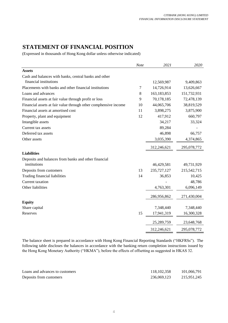# **STATEMENT OF FINANCIAL POSITION**

(Expressed in thousands of Hong Kong dollar unless otherwise indicated)

|                                                                 | Note | 2021        | 2020        |
|-----------------------------------------------------------------|------|-------------|-------------|
| <b>Assets</b>                                                   |      |             |             |
| Cash and balances with banks, central banks and other           |      |             |             |
| financial institutions                                          |      | 12,569,987  | 9,409,863   |
| Placements with banks and other financial institutions          | 7    | 14,726,914  | 13,626,667  |
| Loans and advances                                              | 8    | 163,183,853 | 151,732,931 |
| Financial assets at fair value through profit or loss           | 9    | 70,178,185  | 72,478,139  |
| Financial assets at fair value through other comphensive income | 10   | 44,065,706  | 38,819,529  |
| Financial assets at amortised cost                              | 11   | 3,898,275   | 3,875,900   |
| Property, plant and equipment                                   | 12   | 417,912     | 660,797     |
| Intangible assets                                               |      | 34,217      | 33,324      |
| Current tax assets                                              |      | 89,284      |             |
| Deferred tax assets                                             |      | 46,898      | 66,757      |
| Other assets                                                    |      | 3,035,390   | 4,374,865   |
|                                                                 |      | 312,246,621 | 295,078,772 |
| <b>Liabilities</b>                                              |      |             |             |
| Deposits and balances from banks and other financial            |      |             |             |
| institutions                                                    |      | 46,429,581  | 49,731,929  |
| Deposits from customers                                         | 13   | 235,727,127 | 215,542,715 |
| Trading financial liabilities                                   | 14   | 36,853      | 10,425      |
| <b>Current</b> taxation                                         |      |             | 48,786      |
| Other liabilities                                               |      | 4,763,301   | 6,096,149   |
|                                                                 |      | 286,956,862 | 271,430,004 |
| <b>Equity</b>                                                   |      |             |             |
| Share capital                                                   |      | 7,348,440   | 7,348,440   |
| Reserves                                                        | 15   | 17,941,319  | 16,300,328  |
|                                                                 |      | 25,289,759  | 23,648,768  |
|                                                                 |      | 312,246,621 | 295,078,772 |

The balance sheet is prepared in accordance with Hong Kong Financial Reporting Standards ("HKFRSs"). The following table discloses the balances in accordance with the banking return completion instructions issued by the Hong Kong Monetary Authority ("HKMA"), before the effects of offsetting as suggested in HKAS 32.

| Loans and advances to customers | 118.102.358 | 101,066,791 |
|---------------------------------|-------------|-------------|
| Deposits from customers         | 236,069,123 | 215,951,245 |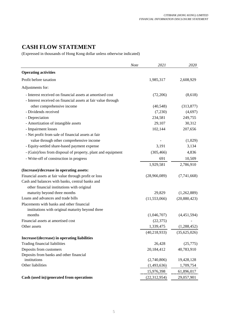# **CASH FLOW STATEMENT**

(Expressed in thousands of Hong Kong dollar unless otherwise indicated)

|                                                               | <b>Note</b> | 2021           | 2020         |
|---------------------------------------------------------------|-------------|----------------|--------------|
| <b>Operating activities</b>                                   |             |                |              |
| Profit before taxation                                        |             | 1,985,317      | 2,608,929    |
| Adjustments for:                                              |             |                |              |
| - Interest received on financial assets at amortised cost     |             | (72,206)       | (8,618)      |
| - Interest received on financial assets at fair value through |             |                |              |
| other comprehensive income                                    |             | (40, 548)      | (313, 877)   |
| - Dividends received                                          |             | (7,230)        | (4,697)      |
| - Depreciation                                                |             | 234,581        | 249,755      |
| - Amortization of intangible assets                           |             | 29,107         | 30,312       |
| - Impairment losses                                           |             | 102,144        | 207,656      |
| - Net profit from sale of financial assets at fair            |             |                |              |
| value through other comprehensive income                      |             |                | (1,029)      |
| - Equity-settled share-based payment expense                  |             | 3,191          | 3,134        |
| - (Gain)/loss from disposal of property, plant and equipment  |             | (305, 466)     | 4,836        |
| - Write-off of construction in progress                       |             | 691            | 10,509       |
|                                                               |             | 1,929,581      | 2,786,910    |
| (Increase)/decrease in operating assets:                      |             |                |              |
| Financial assets at fair value through profit or loss         |             | (28,966,089)   | (7,741,668)  |
| Cash and balances with banks, central banks and               |             |                |              |
| other financial institutions with original                    |             |                |              |
| maturity beyond three months                                  |             | 29,829         | (1,262,889)  |
| Loans and advances and trade bills                            |             | (11,553,066)   | (20,880,423) |
| Placements with banks and other financial                     |             |                |              |
| institutions with original maturity beyond three              |             |                |              |
| months                                                        |             | (1,046,707)    | (4,451,594)  |
| Financial assets at amortised cost                            |             | (22, 375)      |              |
| Other assets                                                  |             | 1,339,475      | (1,288,452)  |
|                                                               |             | (40, 218, 933) | (35,625,026) |
| Increase/(decrease) in operating liabilities                  |             |                |              |
| Trading financial liabilities                                 |             | 26,428         | (25,775)     |
| Deposits from customers                                       |             | 20,184,412     | 40,783,910   |
| Deposits from banks and other financial                       |             |                |              |
| institutions                                                  |             | (2,740,806)    | 19,428,128   |
| Other liabilities                                             |             | (1,493,636)    | 1,709,754    |
|                                                               |             | 15,976,398     | 61,896,017   |
| Cash (used in)/generated from operations                      |             | (22, 312, 954) | 29,057,901   |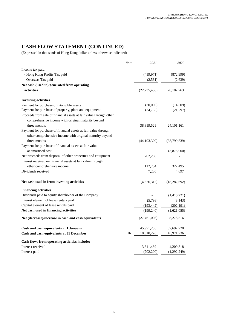# **CASH FLOW STATEMENT (CONTINUED)**

(Expressed in thousands of Hong Kong dollar unless otherwise indicated)

|                                                                                                                          | <b>Note</b> | 2021           | 2020           |
|--------------------------------------------------------------------------------------------------------------------------|-------------|----------------|----------------|
| Income tax paid                                                                                                          |             |                |                |
| - Hong Kong Profits Tax paid                                                                                             |             | (419, 971)     | (872,999)      |
| - Overseas Tax paid                                                                                                      |             | (2, 531)       | (2,639)        |
| Net cash (used in)/generated from operating                                                                              |             |                |                |
| activities                                                                                                               |             | (22, 735, 456) | 28, 182, 263   |
| <b>Investing activities</b>                                                                                              |             |                |                |
| Payment for purchase of intangible assets                                                                                |             | (30,000)       | (14,309)       |
| Payment for purchase of property, plant and equipment                                                                    |             | (34, 755)      | (21,297)       |
| Proceeds from sale of financial assets at fair value through other<br>comprehensive income with original maturity beyond |             |                |                |
| three months                                                                                                             |             | 38,819,529     | 24, 101, 161   |
| Payment for purchase of financial assets at fair value through                                                           |             |                |                |
| other comprehensive income with original maturity beyond                                                                 |             |                |                |
| three months                                                                                                             |             | (44, 103, 300) | (38,799,539)   |
| Payment for purchase of financial assets at fair value                                                                   |             |                |                |
| at amortised cost                                                                                                        |             |                | (3,875,900)    |
| Net proceeds from disposal of other properties and equipment                                                             |             | 702,230        |                |
| Interest received on financial assets at fair value through                                                              |             |                |                |
| other comprehensive income                                                                                               |             | 112,754        | 322,495        |
| Dividends received                                                                                                       |             | 7,230          | 4,697          |
| Net cash used in from investing activities                                                                               |             | (4,526,312)    | (18, 282, 692) |
| <b>Financing activities</b>                                                                                              |             |                |                |
| Dividends paid to equity shareholder of the Company                                                                      |             |                | (1,410,721)    |
| Interest element of lease rentals paid                                                                                   |             | (5,798)        | (8, 143)       |
| Capital element of lease rentals paid                                                                                    |             | (193, 442)     | (202, 191)     |
| Net cash used in financing activities                                                                                    |             | (199, 240)     | (1,621,055)    |
| Net (decrease)/increase in cash and cash equivalents                                                                     |             | (27, 461, 008) | 8,278,516      |
| Cash and cash equivalents at 1 January                                                                                   |             | 45,971,236     | 37,692,720     |
| Cash and cash equivalents at 31 December                                                                                 | 16          | 18,510,228     | 45,971,236     |
| Cash flows from operating activities include:                                                                            |             |                |                |
| Interest received                                                                                                        |             | 3,311,489      | 4,209,818      |
| Interest paid                                                                                                            |             | (702, 200)     | (1,292,249)    |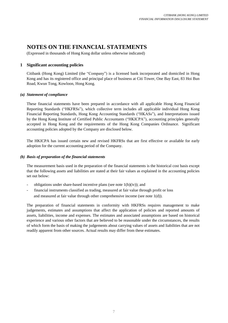# **NOTES ON THE FINANCIAL STATEMENTS**

(Expressed in thousands of Hong Kong dollar unless otherwise indicated)

# **1 Significant accounting policies**

Citibank (Hong Kong) Limited (the "Company") is a licensed bank incorporated and domiciled in Hong Kong and has its registered office and principal place of business at Citi Tower, One Bay East, 83 Hoi Bun Road, Kwun Tong, Kowloon, Hong Kong.

# *(a) Statement of compliance*

These financial statements have been prepared in accordance with all applicable Hong Kong Financial Reporting Standards ("HKFRSs"), which collective term includes all applicable individual Hong Kong Financial Reporting Standards, Hong Kong Accounting Standards ("HKASs"), and Interpretations issued by the Hong Kong Institute of Certified Public Accountants ("HKICPA"), accounting principles generally accepted in Hong Kong and the requirements of the Hong Kong Companies Ordinance. Significant accounting policies adopted by the Company are disclosed below.

The HKICPA has issued certain new and revised HKFRSs that are first effective or available for early adoption for the current accounting period of the Company.

# *(b) Basis of preparation of the financial statements*

The measurement basis used in the preparation of the financial statements is the historical cost basis except that the following assets and liabilities are stated at their fair values as explained in the accounting policies set out below:

- obligations under share-based incentive plans (see note  $1(h)(iv)$ ); and
- financial instruments classified as trading, measured at fair value through profit or loss and measured at fair value through other comprehensive income (see note 1(d)).

The preparation of financial statements in conformity with HKFRSs requires management to make judgements, estimates and assumptions that affect the application of policies and reported amounts of assets, liabilities, income and expenses. The estimates and associated assumptions are based on historical experience and various other factors that are believed to be reasonable under the circumstances, the results of which form the basis of making the judgements about carrying values of assets and liabilities that are not readily apparent from other sources. Actual results may differ from these estimates.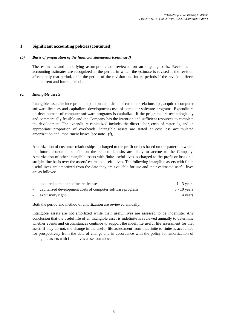# *(b) Basis of preparation of the financial statements (continued)*

The estimates and underlying assumptions are reviewed on an ongoing basis. Revisions to accounting estimates are recognized in the period in which the estimate is revised if the revision affects only that period, or in the period of the revision and future periods if the revision affects both current and future periods.

#### *(c) Intangible assets*

Intangible assets include premium paid on acquisition of customer relationships, acquired computer software licences and capitalized development costs of computer software programs. Expenditure on development of computer software programs is capitalized if the programs are technologically and commercially feasible and the Company has the intention and sufficient resources to complete the development. The expenditure capitalized includes the direct labor, costs of materials, and an appropriate proportion of overheads. Intangible assets are stated at cost less accumulated amortization and impairment losses (see note 1(f)).

Amortization of customer relationships is charged to the profit or loss based on the pattern in which the future economic benefits on the related deposits are likely to accrue to the Company. Amortization of other intangible assets with finite useful lives is charged to the profit or loss on a straight-line basis over the assets' estimated useful lives. The following intangible assets with finite useful lives are amortized from the date they are available for use and their estimated useful lives are as follows:

| acquired computer software licenses                        | $1 - 3$ years |
|------------------------------------------------------------|---------------|
| capitalized development costs of computer software program | 5 - 10 years  |
| exclusivity right                                          | 4 years       |

Both the period and method of amortization are reviewed annually.

Intangible assets are not amortized while their useful lives are assessed to be indefinite. Any conclusion that the useful life of an intangible asset is indefinite is reviewed annually to determine whether events and circumstances continue to support the indefinite useful life assessment for that asset. If they do not, the change in the useful life assessment from indefinite to finite is accounted for prospectively from the date of change and in accordance with the policy for amortization of intangible assets with finite lives as set out above.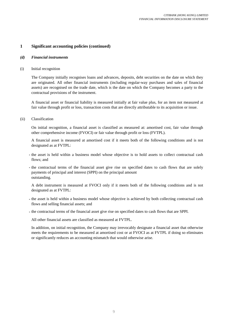# *(d) Financial instruments*

(i) Initial recognition

The Company initially recognises loans and advances, deposits, debt securities on the date on which they are originated. All other financial instruments (including regular-way purchases and sales of financial assets) are recognised on the trade date, which is the date on which the Company becomes a party to the contractual provisions of the instrument.

A financial asset or financial liability is measured initially at fair value plus, for an item not measured at fair value through profit or loss, transaction costs that are directly attributable to its acquisition or issue.

(ii) Classification

On initial recognition, a financial asset is classified as measured at: amortised cost, fair value through other comprehensive income (FVOCI) or fair value through profit or loss (FVTPL).

A financial asset is measured at amortised cost if it meets both of the following conditions and is not designated as at FVTPL:

- **-** the asset is held within a business model whose objective is to hold assets to collect contractual cash flows; and
- **-** the contractual terms of the financial asset give rise on specified dates to cash flows that are solely payments of principal and interest (SPPI) on the principal amount outstanding.

A debt instrument is measured at FVOCI only if it meets both of the following conditions and is not designated as at FVTPL:

- **-** the asset is held within a business model whose objective is achieved by both collecting contractual cash flows and selling financial assets; and
- **-** the contractual terms of the financial asset give rise on specified dates to cash flows that are SPPI.

All other financial assets are classified as measured at FVTPL.

In addition, on initial recognition, the Company may irrevocably designate a financial asset that otherwise meets the requirements to be measured at amortised cost or at FVOCI as at FVTPL if doing so eliminates or significantly reduces an accounting mismatch that would otherwise arise.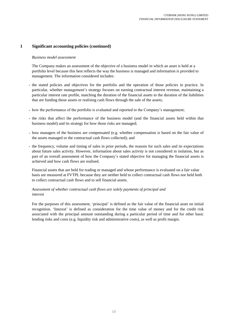# *Business model assessment*

The Company makes an assessment of the objective of a business model in which an asset is held at a portfolio level because this best reflects the way the business is managed and information is provided to management. The information considered includes:

- **-** the stated policies and objectives for the portfolio and the operation of those policies in practice. In particular, whether management's strategy focuses on earning contractual interest revenue, maintaining a particular interest rate profile, matching the duration of the financial assets to the duration of the liabilities that are funding those assets or realising cash flows through the sale of the assets;
- **-** how the performance of the portfolio is evaluated and reported to the Company's management;
- **-** the risks that affect the performance of the business model (and the financial assets held within that business model) and its strategy for how those risks are managed;
- **-** how managers of the business are compensated (e.g. whether compensation is based on the fair value of the assets managed or the contractual cash flows collected); and
- **-** the frequency, volume and timing of sales in prior periods, the reasons for such sales and its expectations about future sales activity. However, information about sales activity is not considered in isolation, but as part of an overall assessment of how the Company's stated objective for managing the financial assets is achieved and how cash flows are realised.

Financial assets that are held for trading or managed and whose performance is evaluated on a fair value basis are measured at FVTPL because they are neither held to collect contractual cash flows nor held both to collect contractual cash flows and to sell financial assets.

# *Assessment of whether contractual cash flows are solely payments of principal and interest*

For the purposes of this assessment, 'principal' is defined as the fair value of the financial asset on initial recognition. 'Interest' is defined as consideration for the time value of money and for the credit risk associated with the principal amount outstanding during a particular period of time and for other basic lending risks and costs (e.g. liquidity risk and administrative costs), as well as profit margin.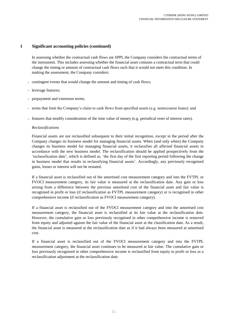In assessing whether the contractual cash flows are SPPI, the Company considers the contractual terms of the instrument. This includes assessing whether the financial asset contains a contractual term that could change the timing or amount of contractual cash flows such that it would not meet this condition. In making the assessment, the Company considers:

- **-** contingent events that would change the amount and timing of cash flows;
- **-** leverage features;
- **-** prepayment and extension terms;
- **-** terms that limit the Company's claim to cash flows from specified assets (e.g. nonrecourse loans); and
- **-** features that modify consideration of the time value of money (e.g. periodical reset of interest rates).

# *Reclassifications*

Financial assets are not reclassified subsequent to their initial recognition, except in the period after the Company changes its business model for managing financial assets. When (and only when) the Company changes its business model for managing financial assets, it reclassifies all affected financial assets in accordance with the new business model. The reclassification should be applied prospectively from the 'reclassification date', which is defined as, 'the first day of the first reporting period following the change in business model that results in reclassifying financial assets'. Accordingly, any previously recognised gains, losses or interest will not be restated.

If a financial asset is reclassified out of the amortised cost measurement category and into the FVTPL or FVOCI measurement category, its fair value is measured at the reclassification date. Any gain or loss arising from a difference between the previous amortised cost of the financial asset and fair value is recognised in profit or loss (if reclassification as FVTPL measurement category) or is recognised in other comprehensive income (if reclassification as FVOCI measurement category).

If a financial asset is reclassified out of the FVOCI measurement category and into the amortised cost measurement category, the financial asset is reclassified at its fair value at the reclassification date. However, the cumulative gain or loss previously recognised in other comprehensive income is removed from equity and adjusted against the fair value of the financial asset at the classification date. As a result, the financial asset is measured at the reclassification date as if it had always been measured at amortised cost.

If a financial asset is reclassified out of the FVOCI measurement category and into the FVTPL measurement category, the financial asset continues to be measured at fair value. The cumulative gain or loss previously recognised in other comprehensive income is reclassified from equity to profit or loss as a reclassification adjustment at the reclassification date.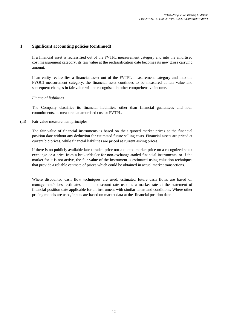If a financial asset is reclassified out of the FVTPL measurement category and into the amortised cost measurement category, its fair value at the reclassification date becomes its new gross carrying amount.

If an entity reclassifies a financial asset out of the FVTPL measurement category and into the FVOCI measurement category, the financial asset continues to be measured at fair value and subsequent changes in fair value will be recognised in other comprehensive income.

## *Financial liabilities*

The Company classifies its financial liabilities, other than financial guarantees and loan commitments, as measured at amortised cost or FVTPL.

## (iii) Fair value measurement principles

The fair value of financial instruments is based on their quoted market prices at the financial position date without any deduction for estimated future selling costs. Financial assets are priced at current bid prices, while financial liabilities are priced at current asking prices.

If there is no publicly available latest traded price nor a quoted market price on a recognized stock exchange or a price from a broker/dealer for non-exchange-traded financial instruments, or if the market for it is not active, the fair value of the instrument is estimated using valuation techniques that provide a reliable estimate of prices which could be obtained in actual market transactions.

Where discounted cash flow techniques are used, estimated future cash flows are based on management's best estimates and the discount rate used is a market rate at the statement of financial position date applicable for an instrument with similar terms and conditions. Where other pricing models are used, inputs are based on market data at the financial position date.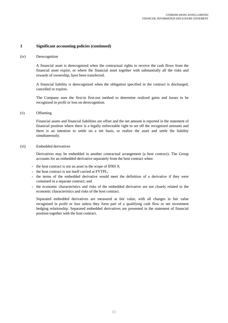#### (iv) Derecognition

A financial asset is derecognized when the contractual rights to receive the cash flows from the financial asset expire, or where the financial asset together with substantially all the risks and rewards of ownership, have been transferred.

A financial liability is derecognized when the obligation specified in the contract is discharged, cancelled or expires.

The Company uses the first-in first-out method to determine realized gains and losses to be recognized in profit or loss on derecognition.

#### (v) Offsetting

Financial assets and financial liabilities are offset and the net amount is reported in the statement of financial position where there is a legally enforceable right to set off the recognized amounts and there is an intention to settle on a net basis, or realize the asset and settle the liability simultaneously.

#### (vi) Embedded derivatives

Derivatives may be embedded in another contractual arrangement (a host contract). The Group accounts for an embedded derivative separately from the host contract when:

- **-** the host contract is not an asset in the scope of IFRS 9;
- **-** the host contract is not itself carried at FVTPL;
- **-** the terms of the embedded derivative would meet the definition of a derivative if they were contained in a separate contract; and
- **-** the economic characteristics and risks of the embedded derivative are not closely related to the economic characteristics and risks of the host contract.

Separated embedded derivatives are measured at fair value, with all changes in fair value recognised in profit or loss unless they form part of a qualifying cash flow or net investment hedging relationship. Separated embedded derivatives are presented in the statement of financial position together with the host contract.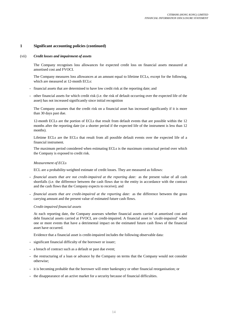#### (vii) *Credit losses and impairment of assets*

The Company recognises loss allowances for expected credit loss on financial assets measured at amortised cost and FVOCI.

The Company measures loss allowances at an amount equal to lifetime ECLs, except for the following, which are measured at 12-month ECLs:

- **-** financial assets that are determined to have low credit risk at the reporting date; and
- **-** other financial assets for which credit risk (i.e. the risk of default occurring over the expected life of the asset) has not increased significantly since initial recognition

The Company assumes that the credit risk on a financial asset has increased significantly if it is more than 30 days past due.

12-month ECLs are the portion of ECLs that result from default events that are possible within the 12 months after the reporting date (or a shorter period if the expected life of the instrument is less than 12 months).

Lifetime ECLs are the ECLs that result from all possible default events over the expected life of a financial instrument.

The maximum period considered when estimating ECLs is the maximum contractual period over which the Company is exposed to credit risk.

#### *Measurement of ECLs*

ECL are a probability-weighted estimate of credit losses. They are measured as follows:

- **-** *financial assets that are not credit-impaired at the reporting date:* as the present value of all cash shortfalls (i.e. the difference between the cash flows due to the entity in accordance with the contract and the cash flows that the Company expects to receive); and
- **-** *financial assets that are credit-impaired at the reporting date:* as the difference between the gross carrying amount and the present value of estimated future cash flows.

#### *Credit-impaired financial assets*

At each reporting date, the Company assesses whether financial assets carried at amortised cost and debt financial assets carried at FVOCI, are credit-impaired. A financial asset is 'credit-impaired' when one or more events that have a detrimental impact on the estimated future cash flows of the financial asset have occurred.

Evidence that a financial asset is credit-impaired includes the following observable data:

- **-** significant financial difficulty of the borrower or issuer;
- **-** a breach of contract such as a default or past due event;
- **-** the restructuring of a loan or advance by the Company on terms that the Company would not consider otherwise;
- **-** it is becoming probable that the borrower will enter bankruptcy or other financial reorganisation; or
- **-** the disappearance of an active market for a security because of financial difficulties.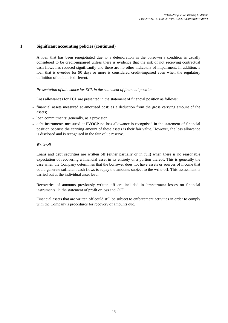A loan that has been renegotiated due to a deterioration in the borrower's condition is usually considered to be credit-impaired unless there is evidence that the risk of not receiving contractual cash flows has reduced significantly and there are no other indicators of impairment. In addition, a loan that is overdue for 90 days or more is considered credit-impaired even when the regulatory definition of default is different.

# *Presentation of allowance for ECL in the statement of financial position*

Loss allowances for ECL are presented in the statement of financial position as follows:

- **-** financial assets measured at amortised cost: as a deduction from the gross carrying amount of the assets;
- **-** loan commitments: generally, as a provision;
- **-** debt instruments measured at FVOCI: no loss allowance is recognised in the statement of financial position because the carrying amount of these assets is their fair value. However, the loss allowance is disclosed and is recognised in the fair value reserve.

# *Write-off*

Loans and debt securities are written off (either partially or in full) when there is no reasonable expectation of recovering a financial asset in its entirety or a portion thereof. This is generally the case when the Company determines that the borrower does not have assets or sources of income that could generate sufficient cash flows to repay the amounts subject to the write-off. This assessment is carried out at the individual asset level.

Recoveries of amounts previously written off are included in 'impairment losses on financial instruments' in the statement of profit or loss and OCI.

Financial assets that are written off could still be subject to enforcement activities in order to comply with the Company's procedures for recovery of amounts due.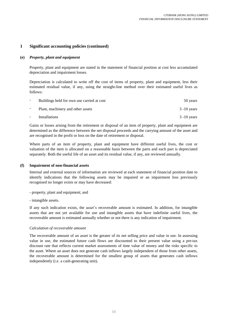# **(e)** *Property, plant and equipment*

Property, plant and equipment are stated in the statement of financial position at cost less accumulated depreciation and impairment losses.

Depreciation is calculated to write off the cost of items of property, plant and equipment, less their estimated residual value, if any, using the straight-line method over their estimated useful lives as follows:

| $\overline{\phantom{0}}$ | Buildings held for own use carried at cost | 50 years       |
|--------------------------|--------------------------------------------|----------------|
|                          | Plant, machinery and other assets          | $3 - 10$ years |
| $\overline{\phantom{a}}$ | Installations                              | $3 - 10$ years |

Gains or losses arising from the retirement or disposal of an item of property, plant and equipment are determined as the difference between the net disposal proceeds and the carrying amount of the asset and are recognised in the profit or loss on the date of retirement or disposal.

Where parts of an item of property, plant and equipment have different useful lives, the cost or valuation of the item is allocated on a reasonable basis between the parts and each part is depreciated separately. Both the useful life of an asset and its residual value, if any, are reviewed annually.

## **(f) Impairment of non-financial assets**

Internal and external sources of information are reviewed at each statement of financial position date to identify indications that the following assets may be impaired or an impairment loss previously recognised no longer exists or may have decreased:

- property, plant and equipment; and
- intangible assets.

If any such indication exists, the asset's recoverable amount is estimated. In addition, for intangible assets that are not yet available for use and intangible assets that have indefinite useful lives, the recoverable amount is estimated annually whether or not there is any indication of impairment.

## *Calculation of recoverable amount*

The recoverable amount of an asset is the greater of its net selling price and value in use. In assessing value in use, the estimated future cash flows are discounted to their present value using a pre-tax discount rate that reflects current market assessments of time value of money and the risks specific to the asset. Where an asset does not generate cash inflows largely independent of those from other assets, the recoverable amount is determined for the smallest group of assets that generates cash inflows independently (i.e. a cash-generating unit).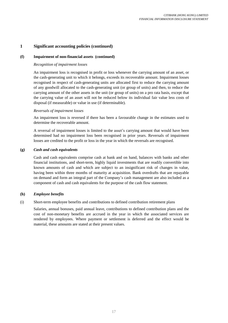# **(f) Impairment of non-financial assets (continued)**

# *Recognition of impairment losses*

An impairment loss is recognised in profit or loss whenever the carrying amount of an asset, or the cash-generating unit to which it belongs, exceeds its recoverable amount. Impairment losses recognised in respect of cash-generating units are allocated first to reduce the carrying amount of any goodwill allocated to the cash-generating unit (or group of units) and then, to reduce the carrying amount of the other assets in the unit (or group of units) on a pro rata basis, except that the carrying value of an asset will not be reduced below its individual fair value less costs of disposal (if measurable) or value in use (if determinable).

## *Reversals of impairment losses*

An impairment loss is reversed if there has been a favourable change in the estimates used to determine the recoverable amount.

A reversal of impairment losses is limited to the asset's carrying amount that would have been determined had no impairment loss been recognised in prior years. Reversals of impairment losses are credited to the profit or loss in the year in which the reversals are recognised.

# **(g)** *Cash and cash equivalents*

Cash and cash equivalents comprise cash at bank and on hand, balances with banks and other financial institutions, and short-term, highly liquid investments that are readily convertible into known amounts of cash and which are subject to an insignificant risk of changes in value, having been within three months of maturity at acquisition. Bank overdrafts that are repayable on demand and form an integral part of the Company's cash management are also included as a component of cash and cash equivalents for the purpose of the cash flow statement.

#### **(h)** *Employee benefits*

(i) Short-term employee benefits and contributions to defined contribution retirement plans

Salaries, annual bonuses, paid annual leave, contributions to defined contribution plans and the cost of non-monetary benefits are accrued in the year in which the associated services are rendered by employees. Where payment or settlement is deferred and the effect would be material, these amounts are stated at their present values.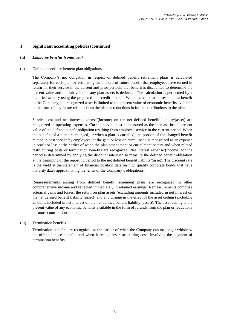# **(h)** *Employee benefits (continued)*

## (ii) Defined benefit retirement plan obligations

The Company's net obligation in respect of defined benefit retirement plans is calculated separately for each plan by estimating the amount of future benefit that employees have earned in return for their service in the current and prior periods; that benefit is discounted to determine the present value and the fair value of any plan assets is deducted. The calculation is performed by a qualified actuary using the projected unit credit method. When the calculation results in a benefit to the Company, the recognized asset is limited to the present value of economic benefits available in the form of any future refunds from the plan or reductions in future contributions to the plan.

Service cost and net interest expense/(income) on the net defined benefit liability/(asset) are recognized in operating expenses. Current service cost is measured as the increase in the present value of the defined benefit obligation resulting from employee service in the current period. When the benefits of a plan are changed, or when a plan is curtailed, the portion of the changed benefit related to past service by employees, or the gain or loss on curtailment, is recognized as an expense in profit or loss at the earlier of when the plan amendment or curtailment occurs and when related restructuring costs or termination benefits are recognized. Net interest expense/(income) for the period is determined by applying the discount rate used to measure the defined benefit obligation at the beginning of the reporting period to the net defined benefit liability/(asset). The discount rate is the yield at the statement of financial position date on high quality corporate bonds that have maturity dates approximating the terms of the Company's obligations.

Remeasurements arising from defined benefit retirement plans are recognized in other comprehensive income and reflected immediately in retained earnings. Remeasurements comprise actuarial gains and losses, the return on plan assets (excluding amounts included in net interest on the net defined benefit liability (asset)) and any change in the effect of the asset ceiling (excluding amounts included in net interest on the net defined benefit liability (asset)). The asset ceiling is the present value of any economic benefits available in the form of refunds from the plan or reductions in future contributions to the plan.

## (iii) Termination benefits

Termination benefits are recognized at the earlier of when the Company can no longer withdraw the offer of those benefits and when it recognizes restructuring costs involving the payment of termination benefits.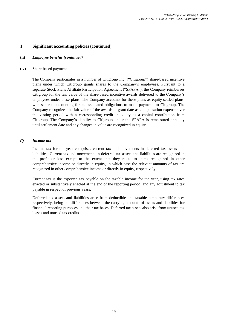# **(h)** *Employee benefits (continued)*

#### (iv) Share-based payments

The Company participates in a number of Citigroup Inc. ("Citigroup") share-based incentive plans under which Citigroup grants shares to the Company's employees. Pursuant to a separate Stock Plans Affiliate Participation Agreement ("SPAPA"), the Company reimburses Citigroup for the fair value of the share-based incentive awards delivered to the Company's employees under these plans. The Company accounts for these plans as equity-settled plans, with separate accounting for its associated obligations to make payments to Citigroup. The Company recognizes the fair value of the awards at grant date as compensation expense over the vesting period with a corresponding credit in equity as a capital contribution from Citigroup. The Company's liability to Citigroup under the SPAPA is remeasured annually until settlement date and any changes in value are recognized in equity.

## *(i) Income tax*

Income tax for the year comprises current tax and movements in deferred tax assets and liabilities. Current tax and movements in deferred tax assets and liabilities are recognized in the profit or loss except to the extent that they relate to items recognized in other comprehensive income or directly in equity, in which case the relevant amounts of tax are recognized in other comprehensive income or directly in equity, respectively.

Current tax is the expected tax payable on the taxable income for the year, using tax rates enacted or substantively enacted at the end of the reporting period, and any adjustment to tax payable in respect of previous years.

Deferred tax assets and liabilities arise from deductible and taxable temporary differences respectively, being the differences between the carrying amounts of assets and liabilities for financial reporting purposes and their tax bases. Deferred tax assets also arise from unused tax losses and unused tax credits.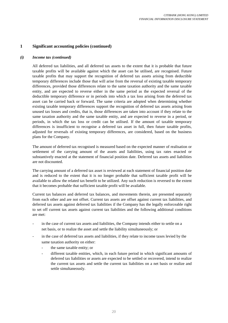#### *(i) Income tax (continued)*

All deferred tax liabilities, and all deferred tax assets to the extent that it is probable that future taxable profits will be available against which the asset can be utilised, are recognised. Future taxable profits that may support the recognition of deferred tax assets arising from deductible temporary differences include those that will arise from the reversal of existing taxable temporary differences, provided those differences relate to the same taxation authority and the same taxable entity, and are expected to reverse either in the same period as the expected reversal of the deductible temporary difference or in periods into which a tax loss arising from the deferred tax asset can be carried back or forward. The same criteria are adopted when determining whether existing taxable temporary differences support the recognition of deferred tax assets arising from unused tax losses and credits, that is, those differences are taken into account if they relate to the same taxation authority and the same taxable entity, and are expected to reverse in a period, or periods, in which the tax loss or credit can be utilised. If the amount of taxable temporary differences is insufficient to recognise a deferred tax asset in full, then future taxable profits, adjusted for reversals of existing temporary differences, are considered, based on the business plans for the Company.

The amount of deferred tax recognised is measured based on the expected manner of realisation or settlement of the carrying amount of the assets and liabilities, using tax rates enacted or substantively enacted at the statement of financial position date. Deferred tax assets and liabilities are not discounted.

The carrying amount of a deferred tax asset is reviewed at each statement of financial position date and is reduced to the extent that it is no longer probable that sufficient taxable profit will be available to allow the related tax benefit to be utilized. Any such reduction is reversed to the extent that it becomes probable that sufficient taxable profit will be available.

Current tax balances and deferred tax balances, and movements therein, are presented separately from each other and are not offset. Current tax assets are offset against current tax liabilities, and deferred tax assets against deferred tax liabilities if the Company has the legally enforceable right to set off current tax assets against current tax liabilities and the following additional conditions are met:

- in the case of current tax assets and liabilities, the Company intends either to settle on a net basis, or to realize the asset and settle the liability simultaneously; or
- in the case of deferred tax assets and liabilities, if they relate to income taxes levied by the same taxation authority on either:
	- the same taxable entity; or
	- different taxable entities, which, in each future period in which significant amounts of deferred tax liabilities or assets are expected to be settled or recovered, intend to realize the current tax assets and settle the current tax liabilities on a net basis or realize and settle simultaneously.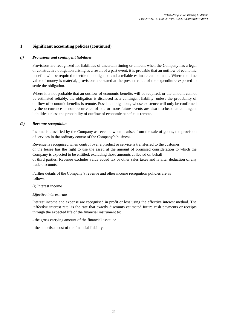# *(j) Provisions and contingent liabilities*

Provisions are recognized for liabilities of uncertain timing or amount when the Company has a legal or constructive obligation arising as a result of a past event, it is probable that an outflow of economic benefits will be required to settle the obligation and a reliable estimate can be made. Where the time value of money is material, provisions are stated at the present value of the expenditure expected to settle the obligation.

Where it is not probable that an outflow of economic benefits will be required, or the amount cannot be estimated reliably, the obligation is disclosed as a contingent liability, unless the probability of outflow of economic benefits is remote. Possible obligations, whose existence will only be confirmed by the occurrence or non-occurrence of one or more future events are also disclosed as contingent liabilities unless the probability of outflow of economic benefits is remote.

## *(k) Revenue recognition*

Income is classified by the Company as revenue when it arises from the sale of goods, the provision of services in the ordinary course of the Company's business.

Revenue is recognised when control over a product or service is transferred to the customer, or the lessee has the right to use the asset, at the amount of promised consideration to which the Company is expected to be entitled, excluding those amounts collected on behalf of third parties. Revenue excludes value added tax or other sales taxes and is after deduction of any trade discounts.

Further details of the Company's revenue and other income recognition policies are as follows:

## (i) Interest income

## *Effective interest rate*

Interest income and expense are recognised in profit or loss using the effective interest method. The 'effective interest rate' is the rate that exactly discounts estimated future cash payments or receipts through the expected life of the financial instrument to:

- the gross carrying amount of the financial asset; or
- the amortised cost of the financial liability.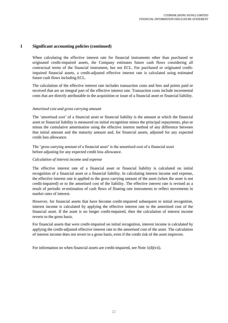When calculating the effective interest rate for financial instruments other than purchased or originated credit-impaired assets, the Company estimates future cash flows considering all contractual terms of the financial instrument, but not ECL. For purchased or originated creditimpaired financial assets, a credit-adjusted effective interest rate is calculated using estimated future cash flows including ECL.

The calculation of the effective interest rate includes transaction costs and fees and points paid or received that are an integral part of the effective interest rate. Transaction costs include incremental costs that are directly attributable to the acquisition or issue of a financial asset or financial liability.

# *Amortised cost and gross carrying amount*

The 'amortised cost' of a financial asset or financial liability is the amount at which the financial asset or financial liability is measured on initial recognition minus the principal repayments, plus or minus the cumulative amortisation using the effective interest method of any difference between that initial amount and the maturity amount and, for financial assets, adjusted for any expected credit loss allowance.

The 'gross carrying amount of a financial asset' is the amortised cost of a financial asset before adjusting for any expected credit loss allowance.

# *Calculation of interest income and expense*

The effective interest rate of a financial asset or financial liability is calculated on initial recognition of a financial asset or a financial liability. In calculating interest income and expense, the effective interest rate is applied to the gross carrying amount of the asset (when the asset is not credit-impaired) or to the amortised cost of the liability. The effective interest rate is revised as a result of periodic re-estimation of cash flows of floating rate instruments to reflect movements in market rates of interest.

However, for financial assets that have become credit-impaired subsequent to initial recognition, interest income is calculated by applying the effective interest rate to the amortised cost of the financial asset. If the asset is no longer credit-impaired, then the calculation of interest income reverts to the gross basis.

For financial assets that were credit-impaired on initial recognition, interest income is calculated by applying the credit-adjusted effective interest rate to the amortised cost of the asset. The calculation of interest income does not revert to a gross basis, even if the credit risk of the asset improves.

For information on when financial assets are credit-impaired, see Note 1(d)(vii).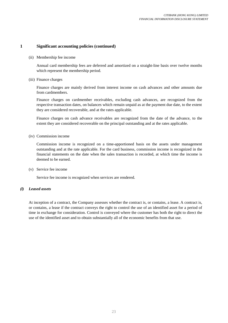(ii) Membership fee income

Annual card membership fees are deferred and amortized on a straight-line basis over twelve months which represent the membership period.

(iii) Finance charges

Finance charges are mainly derived from interest income on cash advances and other amounts due from cardmembers.

Finance charges on cardmember receivables, excluding cash advances, are recognized from the respective transaction dates, on balances which remain unpaid as at the payment due date, to the extent they are considered recoverable, and at the rates applicable.

Finance charges on cash advance receivables are recognized from the date of the advance, to the extent they are considered recoverable on the principal outstanding and at the rates applicable.

(iv) Commission income

Commission income is recognized on a time-apportioned basis on the assets under management outstanding and at the rate applicable. For the card business, commission income is recognized in the financial statements on the date when the sales transaction is recorded, at which time the income is deemed to be earned.

(v) Service fee income

Service fee income is recognized when services are rendered.

# *(l) Leased assets*

At inception of a contract, the Company assesses whether the contract is, or contains, a lease. A contract is, or contains, a lease if the contract conveys the right to control the use of an identified asset for a period of time in exchange for consideration. Control is conveyed where the customer has both the right to direct the use of the identified asset and to obtain substantially all of the economic benefits from that use.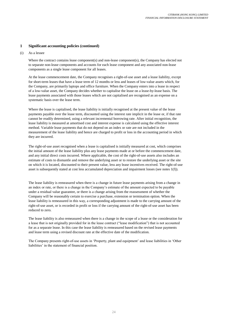(i) As a lessee

Where the contract contains lease component(s) and non-lease component(s), the Company has elected not to separate non-lease components and accounts for each lease component and any associated non-lease components as a single lease component for all leases.

At the lease commencement date, the Company recognises a right-of-use asset and a lease liability, except for short-term leases that have a lease term of 12 months or less and leases of low-value assets which, for the Company, are primarily laptops and office furniture. When the Company enters into a lease in respect of a low-value asset, the Company decides whether to capitalise the lease on a lease-by-lease basis. The lease payments associated with those leases which are not capitalised are recognised as an expense on a systematic basis over the lease term.

Where the lease is capitalised, the lease liability is initially recognised at the present value of the lease payments payable over the lease term, discounted using the interest rate implicit in the lease or, if that rate cannot be readily determined, using a relevant incremental borrowing rate. After initial recognition, the lease liability is measured at amortised cost and interest expense is calculated using the effective interest method. Variable lease payments that do not depend on an index or rate are not included in the measurement of the lease liability and hence are charged to profit or loss in the accounting period in which they are incurred.

The right-of-use asset recognised when a lease is capitalised is initially measured at cost, which comprises the initial amount of the lease liability plus any lease payments made at or before the commencement date, and any initial direct costs incurred. Where applicable, the cost of the right-of-use assets also includes an estimate of costs to dismantle and remove the underlying asset or to restore the underlying asset or the site on which it is located, discounted to their present value, less any lease incentives received. The right-of-use asset is subsequently stated at cost less accumulated depreciation and impairment losses (see notes 1(f)).

The lease liability is remeasured when there is a change in future lease payments arising from a change in an index or rate, or there is a change in the Company's estimate of the amount expected to be payable under a residual value guarantee, or there is a change arising from the reassessment of whether the Company will be reasonably certain to exercise a purchase, extension or termination option. When the lease liability is remeasured in this way, a corresponding adjustment is made to the carrying amount of the right-of-use asset, or is recorded in profit or loss if the carrying amount of the right-of-use asset has been reduced to zero.

The lease liability is also remeasured when there is a change in the scope of a lease or the consideration for a lease that is not originally provided for in the lease contract ("lease modification") that is not accounted for as a separate lease. In this case the lease liability is remeasured based on the revised lease payments and lease term using a revised discount rate at the effective date of the modification.

The Company presents right-of-use assets in 'Property, plant and equipment' and lease liabilities in 'Other liabilities' in the statement of financial position.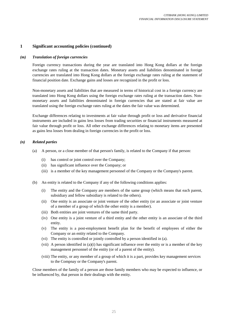#### *(m) Translation of foreign currencies*

Foreign currency transactions during the year are translated into Hong Kong dollars at the foreign exchange rates ruling at the transaction dates. Monetary assets and liabilities denominated in foreign currencies are translated into Hong Kong dollars at the foreign exchange rates ruling at the statement of financial position date. Exchange gains and losses are recognized in the profit or loss.

Non-monetary assets and liabilities that are measured in terms of historical cost in a foreign currency are translated into Hong Kong dollars using the foreign exchange rates ruling at the transaction dates. Nonmonetary assets and liabilities denominated in foreign currencies that are stated at fair value are translated using the foreign exchange rates ruling at the dates the fair value was determined.

Exchange differences relating to investments at fair value through profit or loss and derivative financial instruments are included in gains less losses from trading securities or financial instruments measured at fair value through profit or loss. All other exchange differences relating to monetary items are presented as gains less losses from dealing in foreign currencies in the profit or loss.

#### *(n) Related parties*

- (a) A person, or a close member of that person's family, is related to the Company if that person:
	- (i) has control or joint control over the Company;
	- (ii) has significant influence over the Company; or
	- (iii) is a member of the key management personnel of the Company or the Company's parent.
- (b) An entity is related to the Company if any of the following conditions applies:
	- (i) The entity and the Company are members of the same group (which means that each parent, subsidiary and fellow subsidiary is related to the others).
	- (ii) One entity is an associate or joint venture of the other entity (or an associate or joint venture of a member of a group of which the other entity is a member).
	- (iii) Both entities are joint ventures of the same third party.
	- (iv) One entity is a joint venture of a third entity and the other entity is an associate of the third entity.
	- (v) The entity is a post-employment benefit plan for the benefit of employees of either the Company or an entity related to the Company.
	- (vi) The entity is controlled or jointly controlled by a person identified in (a).
	- (vii) A person identified in (a)(i) has significant influence over the entity or is a member of the key management personnel of the entity (or of a parent of the entity).
	- (viii) The entity, or any member of a group of which it is a part, provides key management services to the Compnay or the Company's parent.

Close members of the family of a person are those family members who may be expected to influence, or be influenced by, that person in their dealings with the entity.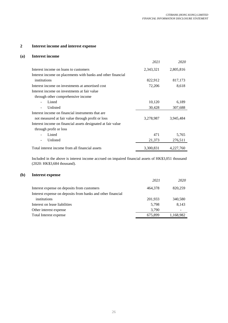#### **2 Interest income and interest expense**

#### **(a) Interest income**

|                                                              | 2021      | 2020      |
|--------------------------------------------------------------|-----------|-----------|
| Interest income on loans to customers                        | 2,343,321 | 2,805,816 |
| Interest income on placements with banks and other financial |           |           |
| institutions                                                 | 822,912   | 817,173   |
| Interest income on investments at amortised cost             | 72,206    | 8.618     |
| Interest income on investments at fair value                 |           |           |
| through other comprehensive income                           |           |           |
| Listed                                                       | 10,120    | 6,189     |
| Unlisted                                                     | 30,428    | 307,688   |
| Interest income on financial instruments that are            |           |           |
| not measured at fair value through profit or loss            | 3,278,987 | 3,945,484 |
| Interest income on financial assets designated at fair value |           |           |
| through profit or loss                                       |           |           |
| Listed                                                       | 471       | 5,765     |
| Unlisted                                                     | 21,373    | 276,511   |
| Total interest income from all financial assets              | 3,300,831 | 4,227,760 |

Included in the above is interest income accrued on impaired financial assets of HK\$3,051 thousand (2020: HK\$3,684 thousand).

#### **(b) Interest expense**

|                                                             | 2021    | 2020      |
|-------------------------------------------------------------|---------|-----------|
| Interest expense on deposits from customers                 | 464,378 | 820,259   |
| Interest expense on deposits from banks and other financial |         |           |
| institutions                                                | 201,933 | 340,580   |
| Interest on lease liabilities                               | 5.798   | 8,143     |
| Other interest expense                                      | 3.790   |           |
| Total Interest expense                                      | 675,899 | 1,168,982 |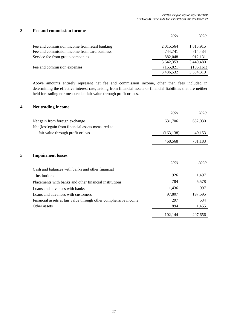# **3 Fee and commission income**

|                                               | 2021       | 2020       |
|-----------------------------------------------|------------|------------|
| Fee and commission income from retail banking | 2,015,564  | 1,813,915  |
| Fee and commission income from card business  | 744,741    | 714,434    |
| Service fee from group companies              | 882,048    | 912,131    |
|                                               | 3,642,353  | 3,440,480  |
| Fee and commission expenses                   | (155, 821) | (106, 161) |
|                                               | 3,486,532  | 3,334,319  |
|                                               |            |            |

Above amounts entirely represent net fee and commission income, other than fees included in determining the effective interest rate, arising from financial assets or financial liabilities that are neither held for trading nor measured at fair value through profit or loss.

# **4 Net trading income**

|   |                                                                 | 2021       | 2020    |
|---|-----------------------------------------------------------------|------------|---------|
|   | Net gain from foreign exchange                                  | 631,706    | 652,030 |
|   | Net (loss)/gain from financial assets measured at               |            |         |
|   | fair value through profit or loss                               | (163, 138) | 49,153  |
|   |                                                                 | 468,568    | 701,183 |
|   |                                                                 |            |         |
| 5 | <b>Impairment losses</b>                                        |            |         |
|   |                                                                 | 2021       | 2020    |
|   | Cash and balances with banks and other financial                |            |         |
|   | institutions                                                    | 926        | 1,497   |
|   | Placements with banks and other financial institutions          | 784        | 5,578   |
|   | Loans and advances with banks                                   | 1,436      | 997     |
|   | Loans and advances with customers                               | 97,807     | 197,595 |
|   | Financial assets at fair value through other comphensive income | 297        | 534     |
|   | Other assets                                                    | 894        | 1,455   |
|   |                                                                 | 102,144    | 207,656 |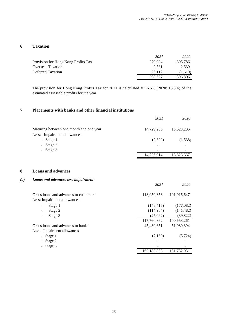*2021 2020*

# **6 Taxation**

|                                     | 2021    | 2020    |
|-------------------------------------|---------|---------|
| Provision for Hong Kong Profits Tax | 279.984 | 395.786 |
| <b>Overseas Taxation</b>            | 2.531   | 2.639   |
| Deferred Taxation                   | 26.112  | (1,619) |
|                                     | 308.627 | 396,806 |

The provision for Hong Kong Profits Tax for 2021 is calculated at 16.5% (2020: 16.5%) of the estimated assessable profits for the year.

#### **7 Placements with banks and other financial institutions**

|                                         | 2021       | 2020       |
|-----------------------------------------|------------|------------|
| Maturing between one month and one year | 14,729,236 | 13,628,205 |
| Less: Impairment allowances             |            |            |
| - Stage 1                               | (2,322)    | (1,538)    |
| - Stage $2$                             |            |            |
| - Stage $3$                             |            |            |
|                                         | 14,726,914 | 13,626,667 |
|                                         |            |            |

# **8 Loans and advances**

# *(a) Loans and advances less impairment*

| Gross loans and advances to customers | 118,050,853   | 101,016,647 |
|---------------------------------------|---------------|-------------|
| Less: Impairment allowances           |               |             |
| Stage 1                               | (148, 415)    | (177,082)   |
| Stage 2                               | (114,984)     | (141, 482)  |
| Stage 3                               | (27,092)      | (39, 822)   |
|                                       | 117,760,362   | 100,658,261 |
| Gross loans and advances to banks     | 45,430,651    | 51,080,394  |
| Less: Impairment allowances           |               |             |
| - Stage 1                             | (7,160)       | (5, 724)    |
| Stage 2                               |               |             |
| - Stage 3                             |               |             |
|                                       | 163, 183, 853 | 151,732,931 |
|                                       |               |             |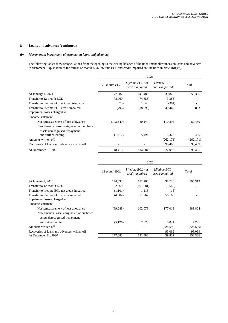# **8 Loans and advances (continued)**

#### *(b) Movement in impairment allowances on loans and advances*

The following tables show reconciliations from the opening to the closing balance of the impairment allowances on loans and advances to customers. Explanation of the terms: 12-month ECL, lifetime ECL and credit-impaired are included in Note 1(d)(vii).

|                                                                                 | 2021         |                                     |                                 |            |
|---------------------------------------------------------------------------------|--------------|-------------------------------------|---------------------------------|------------|
|                                                                                 | 12-month ECL | Lifetime ECL not<br>credit-impaired | Lifetime ECL<br>credit-impaired | Total      |
| At January 1, 2021                                                              | 177,082      | 141,482                             | 39,822                          | 358,386    |
| Transfer to 12-month ECL                                                        | 78,069       | (74,686)                            | (3,383)                         |            |
| Transfer to lifetime ECL not credit-impaired                                    | (979)        | 1,340                               | (361)                           |            |
| Transfer to lifetime ECL credit-impaired<br>Impairment losses charged to        | (796)        | (38,790)                            | 40,449                          | 863        |
| income statement:                                                               |              |                                     |                                 |            |
| Net remeasurement of loss allowance                                             | (103, 549)   | 80,144                              | 110,894                         | 87,489     |
| New financial assets originated or purchased,<br>assets derecognised, repayment |              |                                     |                                 |            |
| and further lending                                                             | (1,412)      | 5,494                               | 5,373                           | 9,455      |
| Amounts written off                                                             |              |                                     | (262, 171)                      | (262, 171) |
| Recoveries of loans and advances written off                                    |              |                                     | 96,469                          | 96,469     |
| At December 31, 2021                                                            | 148,415      | 114.984                             | 27,092                          | 290.491    |

|                                              | 2020         |                                     |                                 |            |
|----------------------------------------------|--------------|-------------------------------------|---------------------------------|------------|
|                                              | 12-month ECL | Lifetime ECL not<br>credit-impaired | Lifetime ECL<br>credit-impaired | Total      |
| At January 1, 2020                           | 174,832      | 182,760                             | 38,720                          | 396,312    |
| Transfer to 12-month ECL                     | 102,669      | (101,081)                           | (1,588)                         | ۰          |
| Transfer to lifetime ECL not credit-impaired | (1,101)      | 1,116                               | (15)                            |            |
| Transfer to lifetime ECL credit-impaired     | (4,904)      | (51,262)                            | 56,166                          |            |
| Impairment losses charged to                 |              |                                     |                                 |            |
| income statement:                            |              |                                     |                                 |            |
| Net remeasurement of loss allowance          | (89, 288)    | 102,073                             | 177,019                         | 189,804    |
| New financial assets originated or puchased, |              |                                     |                                 |            |
| assets derecognised, repayment               |              |                                     |                                 |            |
| and futher lending                           | (5,126)      | 7,876                               | 5,041                           | 7,791      |
| Amounts written off                          |              |                                     | (328, 590)                      | (328, 590) |
| Recoveries of loans and advances written off |              |                                     | 93,069                          | 93,069     |
| At December 31, 2020                         | 177,082      | 141,482                             | 39,822                          | 358,386    |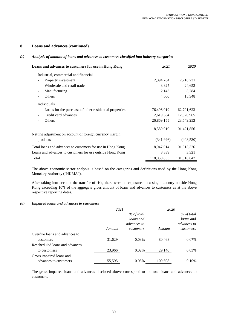# **8 Loans and advances (continued)**

#### *(c) Analysis of amount of loans and advances to customers classified into industry categories*

| Loans and advances to customers for use in Hong Kong       | 2021        | 2020        |
|------------------------------------------------------------|-------------|-------------|
| Industrial, commercial and financial                       |             |             |
| Property investment                                        | 2,394,784   | 2,716,231   |
| Wholesale and retail trade                                 | 3,325       | 24,652      |
| Manufacturing                                              | 2,143       | 3,784       |
| Others                                                     | 4,000       | 15,348      |
| Individuals                                                |             |             |
| Loans for the purchase of other residential properties     | 76,496,019  | 62,791,623  |
| Credit card advances                                       | 12,619,584  | 12,320,965  |
| Others                                                     | 26,869,155  | 23,549,253  |
|                                                            | 118,389,010 | 101,421,856 |
| Netting adjustment on account of foreign currency margin   |             |             |
| products                                                   | (341, 996)  | (408, 530)  |
| Total loans and advances to customers for use in Hong Kong | 118,047,014 | 101,013,326 |
| Loans and advances to customers for use outside Hong Kong  | 3,839       | 3,321       |
| Total                                                      | 118,050,853 | 101,016,647 |
|                                                            |             |             |

The above economic sector analysis is based on the categories and definitions used by the Hong Kong Monetary Authority ("HKMA").

After taking into account the transfer of risk, there were no exposures to a single country outside Hong Kong exceeding 10% of the aggregate gross amount of loans and advances to customers as at the above respective reporting dates.

#### *(d) Impaired loans and advances to customers*

|                                | 2021   |                    | 2020    |                    |
|--------------------------------|--------|--------------------|---------|--------------------|
|                                |        | % of total         |         | $%$ of total       |
|                                |        | loans and          |         | loans and          |
|                                |        | <i>advances</i> to |         | <i>advances to</i> |
|                                | Amount | customers          | Amount  | customers          |
| Overdue loans and advances to  |        |                    |         |                    |
| customers                      | 31,629 | 0.03%              | 80,468  | 0.07%              |
| Rescheduled loans and advances |        |                    |         |                    |
| to customers                   | 23,966 | 0.02%              | 29,140  | 0.03%              |
| Gross impaired loans and       |        |                    |         |                    |
| advances to customers          | 55,595 | 0.05%              | 109,608 | 0.10%              |

The gross impaired loans and advances disclosed above correspond to the total loans and advances to customers.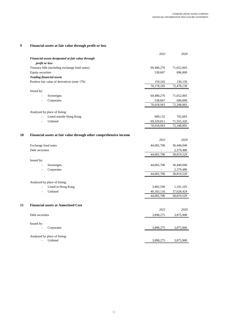# **9 Financial assets at fair value through profit or loss**

**10**

**11**

|                                                                   | 2021       | 2020       |
|-------------------------------------------------------------------|------------|------------|
| Financial assets designated at fair value through                 |            |            |
| profit or loss                                                    |            |            |
| Treasury bills (including exchange fund notes)                    | 69,480,276 | 71,652,003 |
| Equity securities                                                 | 538,667    | 696,000    |
| <b>Trading financial assets</b>                                   |            |            |
| Positive fair value of derivatives (note 17b)                     | 159,242    | 130,136    |
|                                                                   | 70,178,185 | 72,478,139 |
| Issued by:                                                        |            |            |
| Sovereigns<br>$\blacksquare$                                      | 69,480,276 | 71,652,003 |
| Corporates<br>$\blacksquare$                                      | 538,667    | 696,000    |
|                                                                   | 70,018,943 | 72,348,003 |
|                                                                   |            |            |
| Analyzed by place of listing:                                     |            |            |
| Listed outside Hong Kong<br>$\overline{\phantom{a}}$<br>Unlisted  | 689,132    | 792,683    |
| $\overline{\phantom{a}}$                                          | 69,329,811 | 71,555,320 |
|                                                                   | 70,018,943 | 72,348,003 |
|                                                                   |            |            |
| Financial assets at fair value through other comprehensive income | 2021       |            |
|                                                                   |            | 2020       |
| Exchange fund notes                                               | 44,065,706 | 36,440,049 |
| Debt securities                                                   |            | 2,379,480  |
|                                                                   | 44,065,706 | 38,819,529 |
| Issued by:                                                        |            |            |
| Sovereigns<br>ä,                                                  | 44,065,706 | 36,440,049 |
| Corporates<br>$\overline{a}$                                      |            | 2,379,480  |
|                                                                   | 44,065,706 | 38,819,529 |
|                                                                   |            |            |
| Analyzed by place of listing:                                     |            |            |
| Listed in Hong Kong                                               | 3,882,590  | 1,191,105  |
| Unlisted                                                          | 40,183,116 | 37,628,424 |
|                                                                   | 44,065,706 | 38,819,529 |
|                                                                   |            |            |
| <b>Financial assets at Amortised Cost</b>                         | 2021       |            |
|                                                                   |            | 2020       |
| Debt securities                                                   | 3,898,275  | 3,875,900  |
|                                                                   |            |            |
| Issued by:<br>Corporates                                          | 3,898,275  | 3,875,900  |
|                                                                   |            |            |
| Analyzed by place of listing:                                     |            |            |
| Unlisted<br>$\overline{\phantom{a}}$                              | 3,898,275  | 3,875,900  |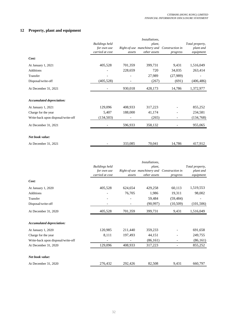# **12 Property, plant and equipment**

|                                    |                       |         | Installations,              |                 |                 |
|------------------------------------|-----------------------|---------|-----------------------------|-----------------|-----------------|
|                                    | <b>Buildings held</b> |         | plant,                      |                 | Total preperty, |
|                                    | for own use           |         | Right-of-use manchinery and | Construction in | plant and       |
|                                    | carried at cost       | assets  | other assets                | progress        | equipment       |
| Cost:                              |                       |         |                             |                 |                 |
| At January 1, 2021                 | 405,528               | 701,359 | 399,731                     | 9,431           | 1,516,049       |
| <b>Additions</b>                   |                       | 228,659 | 720                         | 34,035          | 263,414         |
| Transfer                           |                       |         | 27,989                      | (27,989)        |                 |
| Disposal/write-off                 | (405, 528)            |         | (267)                       | (691)           | (406, 486)      |
| At December 31, 2021               |                       | 930,018 | 428,173                     | 14,786          | 1,372,977       |
| Accumulated depreciation:          |                       |         |                             |                 |                 |
| At January 1, 2021                 | 129,096               | 408,933 | 317,223                     |                 | 855,252         |
| Charge for the year                | 5,407                 | 188,000 | 41,174                      |                 | 234,581         |
| Write-back upon disposal/write-off | (134, 503)            |         | (265)                       |                 | (134, 768)      |
| At December 31, 2021               |                       | 596,933 | 358,132                     |                 | 955,065         |
| Net book value:                    |                       |         |                             |                 |                 |
| At December 31, 2021               |                       | 333,085 | 70,041                      | 14,786          | 417,912         |

|                                    |                                                         |         | Installations,                                        |                             |                                           |
|------------------------------------|---------------------------------------------------------|---------|-------------------------------------------------------|-----------------------------|-------------------------------------------|
|                                    | <b>Buildings</b> held<br>for own use<br>carried at cost | assets  | plant,<br>Right-of-use manchinery and<br>other assets | Construction in<br>progress | Total preperty,<br>plant and<br>equipment |
| Cost:                              |                                                         |         |                                                       |                             |                                           |
| At January 1, 2020                 | 405,528                                                 | 624,654 | 429,258                                               | 60,113                      | 1,519,553                                 |
| <b>Additions</b>                   |                                                         | 76,705  | 1,986                                                 | 19,311                      | 98,002                                    |
| Transfer                           |                                                         |         | 59,484                                                | (59, 484)                   |                                           |
| Disposal/write-off                 |                                                         |         | (90, 997)                                             | (10, 509)                   | (101, 506)                                |
| At December 31, 2020               | 405,528                                                 | 701,359 | 399,731                                               | 9,431                       | 1,516,049                                 |
| <b>Accumulated depreciation:</b>   |                                                         |         |                                                       |                             |                                           |
| At January 1, 2020                 | 120,985                                                 | 211,440 | 359,233                                               |                             | 691,658                                   |
| Charge for the year                | 8,111                                                   | 197,493 | 44,151                                                |                             | 249,755                                   |
| Write-back upon disposal/write-off |                                                         |         | (86,161)                                              | $\overline{\phantom{a}}$    | (86,161)                                  |
| At December 31, 2020               | 129,096                                                 | 408,933 | 317,223                                               |                             | 855,252                                   |
| Net book value:                    |                                                         |         |                                                       |                             |                                           |
| At December 31, 2020               | 276,432                                                 | 292,426 | 82,508                                                | 9,431                       | 660,797                                   |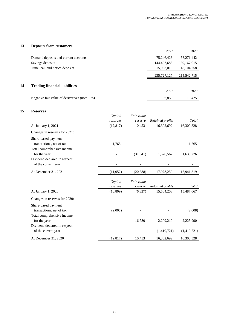# **13 Deposits from customers**

|    |                                               | 2021        | 2020          |
|----|-----------------------------------------------|-------------|---------------|
|    | Demand deposits and current accounts          | 75,246,423  | 58,271,442    |
|    | Savings deposits                              | 144,497,688 | 139, 167, 015 |
|    | Time, call and notice deposits                | 15,983,016  | 18, 104, 258  |
|    |                                               | 235,727,127 | 215,542,715   |
| 14 | <b>Trading financial liabilities</b>          |             |               |
|    |                                               | 2021        | 2020          |
|    | Negative fair value of derivatives (note 17b) | 36,853      | 10.425        |

#### **15 Reserves**

|                                                     | Capital             | Fair value            |                  |             |
|-----------------------------------------------------|---------------------|-----------------------|------------------|-------------|
|                                                     | reserves            | reserve               | Retained profits | Total       |
| At January 1, 2021                                  | (12, 817)           | 10,453                | 16,302,692       | 16,300,328  |
| Changes in reserves for 2021:                       |                     |                       |                  |             |
| Share-based payment<br>transactions, net of tax     | 1,765               |                       |                  | 1,765       |
| Total comprehensive income<br>for the year          |                     | (31, 341)             | 1,670,567        | 1,639,226   |
| Dividend declared in respect<br>of the current year |                     |                       |                  |             |
| At December 31, 2021                                | (11,052)            | (20, 888)             | 17,973,259       | 17,941,319  |
|                                                     | Capital<br>reserves | Fair value<br>reserve | Retained profits | Total       |
| At January 1, 2020                                  | (10, 809)           | (6,327)               | 15,504,203       | 15,487,067  |
| Changes in reserves for 2020:                       |                     |                       |                  |             |
| Share-based payment<br>transactions, net of tax     | (2,008)             |                       |                  | (2,008)     |
| Total comprehensive income<br>for the year          |                     | 16,780                | 2,209,210        | 2,225,990   |
| Dividend declared in respect<br>of the current year |                     |                       | (1,410,721)      | (1,410,721) |
| At December 31, 2020                                | (12, 817)           | 10,453                | 16,302,692       | 16,300,328  |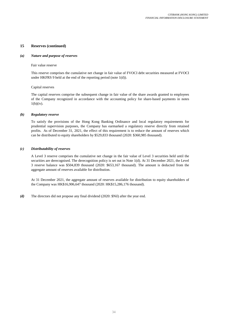#### **15 Reserves (continued)**

#### *(a) Nature and purpose of reserves*

#### Fair value reserve

This reserve comprises the cumulative net change in fair value of FVOCI debt securities measured at FVOCI under HKFRS 9 held at the end of the reporting period (note  $1(d)$ ).

#### Capital reserves

The capital reserves comprise the subsequent change in fair value of the share awards granted to employees of the Company recognized in accordance with the accounting policy for share-based payments in notes 1(h)(iv).

#### *(b) Regulatory reserve*

To satisfy the provisions of the Hong Kong Banking Ordinance and local regulatory requirements for prudential supervision purposes, the Company has earmarked a regulatory reserve directly from retained profits. As of December 31, 2021, the effect of this requirement is to reduce the amount of reserves which can be distributed to equity shareholders by \$529,833 thousand (2020: \$360,985 thousand).

#### *(c) Distributability of reserves*

A Level 3 reserve comprises the cumulative net change in the fair value of Level 3 securities held until the securities are derecognised. The derecognition policy is set out in Note 1(d). At 31 December 2021, the Level 3 reserve balance was \$504,839 thousand (2020: \$653,167 thousand). The amount is deducted from the aggregate amount of reserves available for distribution.

At 31 December 2021, the aggregate amount of reserves available for distribution to equity shareholders of the Company was HK\$16,906,647 thousand (2020: HK\$15,286,176 thousand).

*(d)* The directors did not propose any final dividend (2020: \$Nil) after the year end.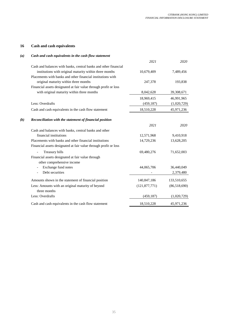# **16 Cash and cash equivalents**

# *(a) Cash and cash equivalents in the cash flow statement*

|                               |                                                                  | 2021            | 2020         |
|-------------------------------|------------------------------------------------------------------|-----------------|--------------|
|                               | Cash and balances with banks, central banks and other financial  |                 |              |
|                               | institutions with original maturity within three months          | 10,679,409      | 7,489,456    |
|                               | Placements with banks and other financial institutions with      |                 |              |
|                               | original maturity within three months                            | 247,378         | 193,838      |
|                               | Financial assets designated at fair value through profit or loss |                 |              |
|                               | with original maturity within three months                       | 8,042,628       | 39,308,671   |
|                               |                                                                  | 18,969,415      | 46,991,965   |
|                               | Less: Overdrafts                                                 | (459, 187)      | (1,020,729)  |
|                               | Cash and cash equivalents in the cash flow statement             | 18,510,228      | 45,971,236   |
| $\left(\boldsymbol{b}\right)$ | Reconciliation with the statement of financial position          |                 |              |
|                               |                                                                  | 2021            | 2020         |
|                               | Cash and balances with banks, central banks and other            |                 |              |
|                               | financial institutions                                           | 12,571,968      | 9,410,918    |
|                               | Placements with banks and other financial institutions           | 14,729,236      | 13,628,205   |
|                               | Financial assets designated at fair value through profit or loss |                 |              |
|                               | Treasury bills                                                   | 69,480,276      | 71,652,003   |
|                               | Financial assets designated at fair value through                |                 |              |
|                               | other comprehensive income                                       |                 |              |
|                               | Exchange fund notes                                              | 44,065,706      | 36,440,049   |
|                               | Debt securities                                                  |                 | 2,379,480    |
|                               | Amounts shown in the statement of financial position             | 140,847,186     | 133,510,655  |
|                               | Less: Amounts with an original maturity of beyond                | (121, 877, 771) | (86,518,690) |
|                               | three months                                                     |                 |              |
|                               | Less: Overdrafts                                                 | (459, 187)      | (1,020,729)  |
|                               | Cash and cash equivalents in the cash flow statement             | 18,510,228      | 45,971,236   |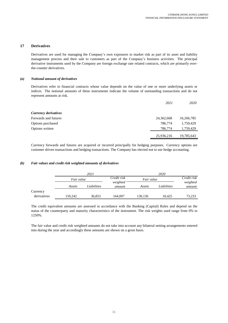#### **17 Derivatives**

Derivatives are used for managing the Company's own exposures to market risk as part of its asset and liability management process and their sale to customers as part of the Company's business activities. The principal derivative instruments used by the Company are foreign exchange rate related contracts, which are primarily overthe-counter derivatives.

#### *(a) Notional amount of derivatives*

Derivatives refer to financial contracts whose value depends on the value of one or more underlying assets or indices. The notional amounts of these instruments indicate the volume of outstanding transactions and do not represent amounts at risk.

|                      | 2021       | <i>2020</i> |
|----------------------|------------|-------------|
| Currency derivatives |            |             |
| Forwards and futures | 24,362,668 | 16,266,785  |
| Options purchased    | 786,774    | 1,759,429   |
| Options written      | 786,774    | 1,759,429   |
|                      | 25,936,216 | 19,785,643  |

Currency forwards and futures are acquired or incurred principally for hedging purposes. Currency options are customer driven transactions and hedging transactions. The Company has elected not to use hedge accounting.

#### *(b) Fair values and credit risk weighted amounts of derivatives*

|             | 2021                  |                           |         |             |                    |             |
|-------------|-----------------------|---------------------------|---------|-------------|--------------------|-------------|
|             |                       | Credit risk<br>Fair value |         | Fair value  |                    | Credit risk |
|             | Liabilities<br>Assets | weighted<br>amount        | Assets  | Liabilities | weighted<br>amount |             |
| Currency    |                       |                           |         |             |                    |             |
| derivatives | 159,242               | 36,853                    | 164,097 | 130,136     | 10.425             | 73,233      |

The credit equivalent amounts are assessed in accordance with the Banking (Capital) Rules and depend on the status of the counterparty and maturity characteristics of the instrument. The risk weights used range from 0% to 1250%.

The fair value and credit risk weighted amounts do not take into account any bilateral netting arrangements entered into during the year and accordingly these amounts are shown on a gross basis.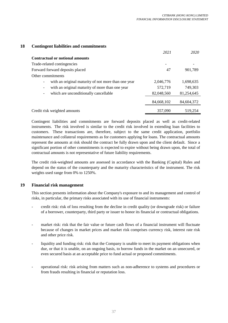# **18 Contingent liabilities and commitments**

|                                                                             | 2021       | 2020       |
|-----------------------------------------------------------------------------|------------|------------|
| <b>Contractual or notional amounts</b>                                      |            |            |
| Trade-related contingencies                                                 |            |            |
| Forward forward deposits placed                                             | 47         | 901,789    |
| Other commitments                                                           |            |            |
| with an original maturity of not more than one year                         | 2,046,776  | 1,698,635  |
| with an original maturity of more than one year<br>$\overline{\phantom{a}}$ | 572,719    | 749,303    |
| which are unconditionally cancellable<br>$\overline{\phantom{a}}$           | 82,048,560 | 81,254,645 |
|                                                                             | 84,668,102 | 84,604,372 |
| Credit risk weighted amounts                                                | 357,090    | 519,254    |

Contingent liabilities and commitments are forward deposits placed as well as credit-related instruments. The risk involved is similar to the credit risk involved in extending loan facilities to customers. These transactions are, therefore, subject to the same credit application, portfolio maintenance and collateral requirements as for customers applying for loans. The contractual amounts represent the amounts at risk should the contract be fully drawn upon and the client default. Since a significant portion of other commitments is expected to expire without being drawn upon, the total of contractual amounts is not representative of future liability requirements.

The credit risk-weighted amounts are assessed in accordance with the Banking (Capital) Rules and depend on the status of the counterparty and the maturity characteristics of the instrument. The risk weights used range from 0% to 1250%.

# **19 Financial risk management**

This section presents information about the Company's exposure to and its management and control of risks, in particular, the primary risks associated with its use of financial instruments:

- credit risk: risk of loss resulting from the decline in credit quality (or downgrade risk) or failure of a borrower, counterparty, third party or issuer to honor its financial or contractual obligations.
- market risk: risk that the fair value or future cash flows of a financial instrument will fluctuate because of changes in market prices and market risk comprises currency risk, interest rate risk and other price risk.
- liquidity and funding risk: risk that the Company is unable to meet its payment obligations when due, or that it is unable, on an ongoing basis, to borrow funds in the market on an unsecured, or even secured basis at an acceptable price to fund actual or proposed commitments.
- operational risk: risk arising from matters such as non-adherence to systems and procedures or from frauds resulting in financial or reputation loss.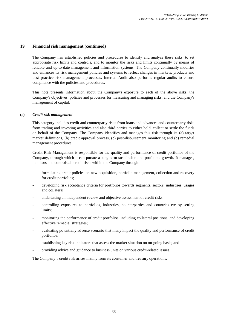The Company has established policies and procedures to identify and analyze these risks, to set appropriate risk limits and controls, and to monitor the risks and limits continually by means of reliable and up-to-date management and information systems. The Company continually modifies and enhances its risk management policies and systems to reflect changes in markets, products and best practice risk management processes. Internal Audit also performs regular audits to ensure compliance with the policies and procedures.

This note presents information about the Company's exposure to each of the above risks, the Company's objectives, policies and processes for measuring and managing risks, and the Company's management of capital.

#### (a) *Credit risk management*

This category includes credit and counterparty risks from loans and advances and counterparty risks from trading and investing activities and also third parties to either hold, collect or settle the funds on behalf of the Company. The Company identifies and manages this risk through its (a) target market definitions, (b) credit approval process, (c) post-disbursement monitoring and (d) remedial management procedures.

Credit Risk Management is responsible for the quality and performance of credit portfolios of the Company, through which it can pursue a long-term sustainable and profitable growth. It manages, monitors and controls all credit risks within the Company through:

- formulating credit policies on new acquisition, portfolio management, collection and recovery for credit portfolios;
- developing risk acceptance criteria for portfolios towards segments, sectors, industries, usages and collateral;
- undertaking an independent review and objective assessment of credit risks;
- controlling exposures to portfolios, industries, counterparties and countries etc by setting limits;
- monitoring the performance of credit portfolios, including collateral positions, and developing effective remedial strategies;
- evaluating potentially adverse scenario that many impact the quality and performance of credit portfolios;
- establishing key risk indicators that assess the market situation on on-going basis; and
- providing advice and guidance to business units on various credit-related issues.

The Company's credit risk arises mainly from its consumer and treasury operations.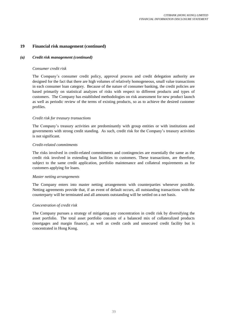# *(a) Credit risk management (continued)*

# *Consumer credit risk*

The Company's consumer credit policy, approval process and credit delegation authority are designed for the fact that there are high volumes of relatively homogeneous, small value transactions in each consumer loan category. Because of the nature of consumer banking, the credit policies are based primarily on statistical analyzes of risks with respect to different products and types of customers. The Company has established methodologies on risk assessment for new product launch as well as periodic review of the terms of existing products, so as to achieve the desired customer profiles.

# *Credit risk for treasury transactions*

The Company's treasury activities are predominantly with group entities or with institutions and governments with strong credit standing. As such, credit risk for the Company's treasury activities is not significant.

## *Credit-related commitments*

The risks involved in credit-related commitments and contingencies are essentially the same as the credit risk involved in extending loan facilities to customers. These transactions, are therefore, subject to the same credit application, portfolio maintenance and collateral requirements as for customers applying for loans.

## *Master netting arrangements*

The Company enters into master netting arrangements with counterparties whenever possible. Netting agreements provide that, if an event of default occurs, all outstanding transactions with the counterparty will be terminated and all amounts outstanding will be settled on a net basis.

## *Concentration of credit risk*

The Company pursues a strategy of mitigating any concentration in credit risk by diversifying the asset portfolio. The total asset portfolio consists of a balanced mix of collateralized products (mortgages and margin finance), as well as credit cards and unsecured credit facility but is concentrated in Hong Kong.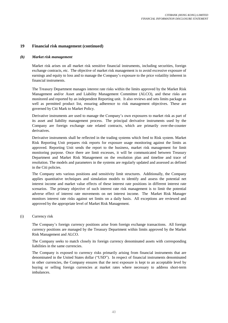#### *(b) Market risk management*

Market risk arises on all market risk sensitive financial instruments, including securities, foreign exchange contracts, etc. The objective of market risk management is to avoid excessive exposure of earnings and equity to loss and to manage the Company's exposure to the price volatility inherent in financial instruments.

The Treasury Department manages interest rate risks within the limits approved by the Market Risk Management and/or Asset and Liability Management Committee (ALCO), and these risks are monitored and reported by an independent Reporting unit. It also reviews and sets limits package as well as permitted product list, ensuring adherence to risk management objectives. These are governed by Citi Mark to Market Policy.

Derivative instruments are used to manage the Company's own exposures to market risk as part of its asset and liability management process. The principal derivative instruments used by the Company are foreign exchange rate related contracts, which are primarily over-the-counter derivatives.

Derivative instruments shall be reflected in the trading systems which feed to Risk system. Market Risk Reporting Unit prepares risk reports for exposure usage monitoring against the limits as approved. Reporting Unit sends the report to the business, market risk management for limit monitoring purpose. Once there are limit excesses, it will be communicated between Treasury Department and Market Risk Management on the resolution plan and timeline and trace of resolution. The models and parameters in the systems are regularly updated and assessed as defined in the Citi policies.

The Company sets various positions and sensitivity limit structures. Additionally, the Company applies quantitative techniques and simulation models to identify and assess the potential net interest income and market value effects of these interest rate positions in different interest rate scenarios. The primary objective of such interest rate risk management is to limit the potential adverse effect of interest rate movements on net interest income. The Market Risk Manager monitors interest rate risks against set limits on a daily basis. All exceptions are reviewed and approved by the appropriate level of Market Risk Management.

(i) Currency risk

The Company's foreign currency positions arise from foreign exchange transactions. All foreign currency positions are managed by the Treasury Department within limits approved by the Market Risk Management and ALCO.

The Company seeks to match closely its foreign currency denominated assets with corresponding liabilities in the same currencies.

The Company is exposed to currency risks primarily arising from financial instruments that are denominated in the United States dollar ("USD"). In respect of financial instruments denominated in other currencies, the Company ensures that the next exposure is kept to an acceptable level by buying or selling foreign currencies at market rates where necessary to address short-term imbalances.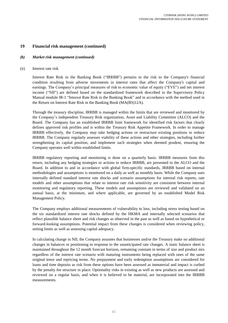# *(b) Market risk management (continued)*

## (ii) Interest rate risk

Interest Rate Risk in the Banking Book ("IRRBB") pertains to the risk to the Company's financial condition resulting from adverse movements in interest rates that affect the Company's capital and earnings. The Company's principal measures of risk to economic value of equity ("EVE") and net interest income ("NII") are defined based on the standardized framework described in the Supervisory Policy Manual module IR-1 "Interest Rate Risk in the Banking Book" and in accordance with the method used in the Return on Interest Rate Risk in the Banking Book (MA(BS)12A).

Through the treasury discipline, IRRBB is managed within the limits that are reviewed and monitored by the Company's independent Treasury Risk organization, Asset and Liability Committee (ALCO) and the Board. The Company has an established IRRBB limit framework for identified risk factors that clearly defines approved risk profiles and is within the Treasury Risk Appetite Framework. In order to manage IRRBB effectively, the Company may take hedging actions or restructure existing positions to reduce IRRBB. The Company regularly assesses viability of these actions and other strategies, including further strengthening its capital position, and implement such strategies when deemed prudent, ensuring the Company operates well within established limits.

IRRBB regulatory reporting and monitoring is done on a quarterly basis. IRRBB measures from this return, including any hedging strategies or actions to reduce IRRBB, are presented to the ALCO and the Board. In addition to and in accordance with global firm-specific standards, IRRBB based on internal methodologies and assumptions is monitored on a daily as well as monthly basis. While the Company uses internally defined standard interest rate shocks and scenario assumptions for internal risk reports, rate models and other assumptions that relate to interest rate risk sensitivity are consistent between internal monitoring and regulatory reporting. These models and assumptions are reviewed and validated on an annual basis, at the minimum, and where applicable, are governed by an established Model Risk Management Policy.

The Company employs additional measurements of vulnerability to loss, including stress testing based on the six standardized interest rate shocks defined by the HKMA and internally selected scenarios that reflect plausible balance sheet and risk changes as observed in the past as well as based on hypothetical or forward-looking assumptions. Potential impact from these changes is considered when reviewing policy, setting limits as well as assessing capital adequacy.

In calculating change in NII, the Company assumes that businesses and/or the Treasury make no additional changes in balances or positioning in response to the unanticipated rate changes. A static balance sheet is maintained throughout the 12 month forecast horizon, remaining constant in terms of size and product mix regardless of the interest rate scenario with maturing instruments being replaced with ones of the same original tenor and repricing terms. No prepayment and early redemption assumptions are considered for loans and time deposits as risk from these options have been assessed as immaterial and impact is curbed by the penalty fee structure in place. Optionality risks in existing as well as new products are assessed and reviewed on a regular basis, and when it is believed to be material, are incorporated into the IRRBB measurements.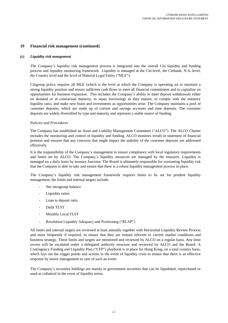#### *(c) Liquidity risk mangement*

The Company's liquidity risk management process is integrated into the overall Citi liquidity and funding process and liquidity monitoring framework. Liquidity is managed at the Citi-level, the Citibank, N.A.-level, the Country level and the level of Material Legal Entity ("MLE").

Citigroup policy requires all MLE (which is the level at which the Company is operating at) to maintain a strong liquidity position and ensure sufficient cash flows to meet all financial commitment and to capitalize on opportunities for business expansion. This includes the Company's ability to meet deposit withdrawals either on demand or at contractual maturity, to repay borrowings as they mature, to comply with the statutory liquidity ratio, and make new loans and investments as opportunities arise. The Company maintains a pool of customer deposits, which are made up of current and savings accounts and time deposits. The customer deposits are widely diversified by type and maturity and represent a stable source of funding.

#### *Policies and Procedures*

The Company has established an Asset and Liability Management Committee ("ALCO"). The ALCO Charter includes the monitoring and control of liquidity and funding. ALCO monitors trends in statement of financial position and ensures that any concerns that might impact the stability of the customer deposits are addressed effectively.

It is the responsibility of the Company's management to ensure compliance with local regulatory requirements and limits set by ALCO. The Company's liquidity resources are managed by the treasurer. Liquidity is managed on a daily basis by treasury function. The Board is ultimately responsible for overseeing liquidity risk that the Company is able to take and ensure that there is a robust liquidity management process in place.

The Company's liquidity risk management framework requires limits to be set for prudent liquidity management, the limits and internal targets include:

- Net intragroup balance
- Liquidity ratios
- Loan to deposit ratio
- Daily TLST
- Monthly Local TLST
- Resolution Liquidity Adequacy and Positioning ("RLAP")

All limits and internal targets are reviewed at least annually together with Horizontal Liquidity Review Process and more frequently if required, to ensure that they are remain relevent to current market conditions and business strategy. These limits and targets are monitored and reviewed by ALCO on a regular basis. Any limit excess will be escalated under a delegated authority structure and reviewed by ALCO and the Board. A Contingency Funding and Liquidity Plan ("CFP") playbook is in place for Hong Kong, on a total country basis, which lays out the trigger points and actions in the event of liquidity crisis to ensure that there is an effective response by senior management in case of such an event.

The Company's securities holdings are mainly in government securities that can be liquidated, repurchased or used as collateral in the event of liquidity stress.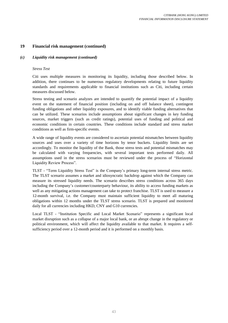# *(c) Liquidity risk management (continued)*

## *Stress Test*

Citi uses multiple measures in monitoring its liquidity, including those described below. In addition, there continues to be numerous regulatory developments relating to future liquidity standards and requirements applicable to financial institutions such as Citi, including certain measures discussed below.

Stress testing and scenario analyzes are intended to quantify the potential impact of a liquidity event on the statement of financial position (including on and off balance sheet), contingent funding obligations and other liquidity exposures, and to identify viable funding alternatives that can be utilized. These scenarios include assumptions about significant changes in key funding sources, market triggers (such as credit ratings), potential uses of funding and political and economic conditions in certain countries. These conditions include standard and stress market conditions as well as firm-specific events.

A wide range of liquidity events are considered to ascertain potential mismatches between liquidity sources and uses over a variety of time horizons by tenor buckets. Liquidity limits are set accordingly. To monitor the liquidity of the Bank, those stress tests and potential mismatches may be calculated with varying frequencies, with several important tests performed daily. All assumptions used in the stress scenarios must be reviewed under the process of "Horizontal Liquidity Review Process".

TLST - "Term Liquidity Stress Test" is the Company's primary long-term internal stress metric. The TLST scenario assumes a market and idiosyncratic backdrop against which the Company can measure its stressed liquidity needs. The scenario describes stress conditions across 365 days including the Company's customer/counterparty behaviour, its ability to access funding markets as well as any mitigating actions management can take to protect franchise. TLST is used to measure a 12-month survival, i.e. the Company must maintain sufficient liquidity to meet all maturing obligations within 12 months under the TLST stress scenario. TLST is prepared and monitored daily for all currencies including HKD, CNY and G10 currencies.

Local TLST - "Institution Specific and Local Market Scenario" represents a significant local market disruption such as a collapse of a major local bank, or an abrupt change in the regulatory or political environment, which will affect the liquidity available to that market. It requires a selfsufficiency period over a 12-month period and it is performed on a monthly basis.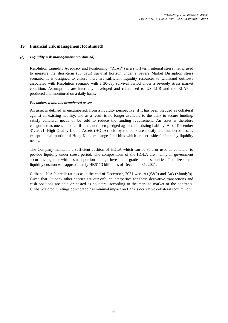# *(c) Liquidity risk management (continued)*

Resolution Liquidity Adequacy and Positioning ("RLAP") is a short term internal stress metric used to measure the short-term (30 days) survival horizon under a Severe Market Disruption stress scenario. It is designed to ensure there are sufficient liquidity resources to withstand outflows associated with Resolution scenario with a 30-day survival period under a severely stress market condition. Assumptions are internally developed and referenced to US LCR and the RLAP is produced and monitored on a daily basis.

## *Encumbered and unencumbered assets*

An asset is defined as encumbered, from a liquidity perspective, if it has been pledged as collateral against an existing liability, and as a result is no longer available to the bank to secure funding, satisfy collateral needs or be sold to reduce the funding requirement. An asset is therefore categorized as unencumbered if it has not been pledged against an existing liability. As of December 31, 2021, High Quality Liquid Assets (HQLA) held by the bank are mostly unencumbered assets, except a small portion of Hong Kong exchange fund bills which are set aside for intraday liquidity needs.

The Company maintains a sufficient cushion of HQLA which can be sold or used as collateral to provide liquidity under stress period. The compositions of the HQLA are mainly in government securities together with a small portion of high investment grade credit securities. The size of the liquidity cushion was approximately HK\$113 billion as of December 31, 2021.

Citibank, N.A.'s credit ratings as at the end of December, 2021 were A+(S&P) and Aa3 (Moody's). Given that Citibank other entities are our only counterparties for these derivative transactions and cash positions are held or posted as collateral according to the mark to market of the contracts. Citibank's credit ratings downgrade has minimal impact on Bank's derivative collateral requirement.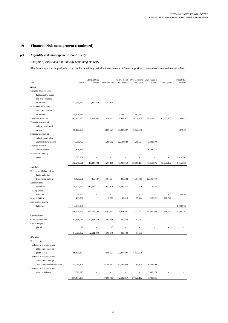# *(c) Liquidity risk management (continued)*

# *Analysis of assets and liabilities by remaining maturity*

The following maturity profile is based on the remaining period at the statement of financial position date to the contractual maturity date.

| 2021                           | Total       | Repayable on  | demand 1 month or less | to 3 months            | Over 1 month Over 3 months Over 1 year to<br>to 1 year | 5 years    | Over 5 years | Undated or<br>overdue |
|--------------------------------|-------------|---------------|------------------------|------------------------|--------------------------------------------------------|------------|--------------|-----------------------|
| Assets                         |             |               |                        |                        |                                                        |            |              |                       |
| Cash and balances with         |             |               |                        |                        |                                                        |            |              |                       |
| banks, central banks           |             |               |                        |                        |                                                        |            |              |                       |
| and other financial            |             |               |                        |                        |                                                        |            |              |                       |
| institutions                   | 12,569,987  | 7,827,852     | 4,742,135              |                        |                                                        |            |              |                       |
| Placements with banks          |             |               |                        |                        |                                                        |            |              |                       |
| and other financial            |             |               |                        |                        |                                                        |            |              |                       |
| institutions                   |             |               |                        |                        |                                                        |            |              |                       |
| Loans and advances             | 14,726,914  | 7,619,852     | 656,641                | 2,243,171<br>4,044,971 | 12,483,743                                             | 69,479,411 | 62,035,107   | 93,612                |
| Financial assets at fair       | 163,183,853 |               |                        |                        | 19,254,259                                             |            |              |                       |
|                                |             |               |                        |                        |                                                        |            |              |                       |
| value through profit           |             |               |                        |                        |                                                        |            |              |                       |
| or loss                        | 70,178,185  |               | 3,609,021              | 50,047,897             | 15,823,358                                             |            |              | 697,909               |
| Financial assets at fair       |             |               |                        |                        |                                                        |            |              |                       |
| value through other            |             |               |                        |                        |                                                        |            |              |                       |
| comprehensive income           | 44,065,706  |               | 6,289,392              | 22,594,920             | 11,298,804                                             | 3,882,590  |              |                       |
| Financial assets at            |             |               |                        |                        |                                                        |            |              |                       |
| amortised cost                 | 3,898,275   |               |                        |                        |                                                        | 3,898,275  |              |                       |
| Non-interest bearing           |             |               |                        |                        |                                                        |            |              |                       |
| assets                         | 3,623,701   |               |                        |                        |                                                        |            |              | 3,623,701             |
|                                | 312,246,621 | 15,447,704    | 15,297,189             | 78,930,959             | 58,860,164                                             | 77,260,276 | 62,035,107   | 4,415,222             |
| Liabilities                    |             |               |                        |                        |                                                        |            |              |                       |
| Deposits and balances from     |             |               |                        |                        |                                                        |            |              |                       |
| banks and other                |             |               |                        |                        |                                                        |            |              |                       |
| financial institutions         | 46,429,581  | 459,187       | 16,191,994             | 885,232                | 6,301,419                                              | 22,591,749 |              |                       |
| Deposits from                  |             |               |                        |                        |                                                        |            |              |                       |
| customers                      | 235,727,127 | 219,744,111   | 8,857,126              | 6,392,816              | 731,508                                                | 1,566      |              |                       |
| Trading financial              |             |               |                        |                        |                                                        |            |              |                       |
| liabilities                    | 36,853      |               |                        |                        |                                                        |            |              | 36,853                |
| Lease liabilities              | 463,397     |               | 16,673                 | 33,419                 | 99,444                                                 | 213,221    | 100,640      |                       |
| Non-interest bearing           |             |               |                        |                        |                                                        |            |              |                       |
| liabilities                    | 4,299,904   |               |                        |                        |                                                        |            |              | 4,299,904             |
|                                |             |               |                        |                        |                                                        |            |              |                       |
|                                | 286,956,862 | 220, 203, 298 | 25,065,793             | 7,311,467              | 7,132,371                                              | 22,806,536 | 100,640      | 4,336,757             |
| <b>Commitments</b>             |             |               |                        |                        |                                                        |            |              |                       |
| Other commitments              | 84,668,055  | 82,621,279    | 1,565,599              | 430,120                | 51,057                                                 |            |              |                       |
| Forward deposits               |             |               |                        |                        |                                                        |            |              |                       |
| placed                         | 47          |               | 47                     |                        |                                                        |            |              |                       |
|                                | 84,668,102  | 82,621,279    | 1,565,646              | 430,120                | 51,057                                                 |            | $\bar{a}$    |                       |
| Of which:                      |             |               |                        |                        |                                                        |            |              |                       |
| Debt securities                |             |               |                        |                        |                                                        |            |              |                       |
| - included in financial assets |             |               |                        |                        |                                                        |            |              |                       |
| at fair value through          |             |               |                        |                        |                                                        |            |              |                       |
| profit or loss                 | 69,480,276  |               | 3,609,021              | 50,047,897             | 15,823,358                                             |            |              |                       |
| - included in financial assets |             |               |                        |                        |                                                        |            |              |                       |
| at fair value through          |             |               |                        |                        |                                                        |            |              |                       |
| other comprehensive income     | 44,065,706  |               | 6,289,392              | 22,594,920             | 11,298,804                                             | 3,882,590  |              |                       |
| - included in financial assets |             |               |                        |                        |                                                        |            |              |                       |
| at amortised cost              | 3,898,275   |               |                        | ÷,                     | $\sim$                                                 | 3,898,275  |              |                       |
|                                |             |               |                        |                        |                                                        |            |              |                       |
|                                | 117,444,257 | ÷,            | 9,898,413              | 72,642,817             | 27,122,162                                             | 7,780,865  |              |                       |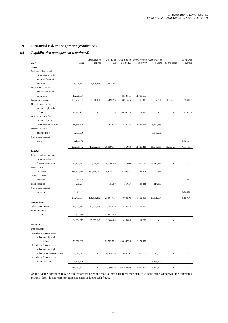## *(c) Liquidity risk management (continued)*

| 2020                           | Total       | Repayable on<br>demand | 1 month or<br>less | to 3 months | Over 1 month Over 3 months Over 1 year to<br>to 1 year | 5 years    | Over 5 years | Undated or<br>overdue |
|--------------------------------|-------------|------------------------|--------------------|-------------|--------------------------------------------------------|------------|--------------|-----------------------|
|                                |             |                        |                    |             |                                                        |            |              |                       |
| Assets                         |             |                        |                    |             |                                                        |            |              |                       |
| Cash and balances with         |             |                        |                    |             |                                                        |            |              |                       |
| banks, central banks           |             |                        |                    |             |                                                        |            |              |                       |
| and other financial            |             |                        |                    |             |                                                        |            |              |                       |
| institutions                   | 9,409,863   | 4,606,159              | 4,803,704          |             |                                                        |            |              |                       |
| Placements with banks          |             |                        |                    |             |                                                        |            |              |                       |
| and other financial            |             |                        |                    |             |                                                        |            |              |                       |
| institutions                   | 13,626,667  |                        |                    | 2,533,151   | 11,093,516                                             |            |              |                       |
| Loans and advances             | 151,732,931 | 7,066,196              | 469,196            | 3,891,416   | 15,717,885                                             | 73,627,350 | 50,807,231   | 153,657               |
| Financial assets at fair       |             |                        |                    |             |                                                        |            |              |                       |
| value through profit           |             |                        |                    |             |                                                        |            |              |                       |
| or loss                        | 72,478,139  |                        | 29,522,739         | 35,854,714  | 6,274,550                                              |            |              | 826,136               |
| Financial assets at fair       |             |                        |                    |             |                                                        |            |              |                       |
| value through other            |             |                        |                    |             |                                                        |            |              |                       |
| comprehensive income           | 38,819,529  |                        | 4,263,935          | 12,445,732  | 18,539,277                                             | 3,570,585  |              |                       |
| Financial assets at            |             |                        |                    |             |                                                        |            |              |                       |
| amortised cost                 | 3,875,900   |                        |                    |             |                                                        | 3,875,900  |              |                       |
| Non-interest bearing           |             |                        |                    |             |                                                        |            |              |                       |
| assets                         | 5,135,743   |                        |                    |             |                                                        |            |              | 5,135,743             |
|                                | 295,078,772 | 11,672,355             | 39,059,574         | 54,725,013  | 51,625,228                                             | 81,073,835 | 50,807,231   | 6,115,536             |
| Liabilities                    |             |                        |                    |             |                                                        |            |              |                       |
| Deposits and balances from     |             |                        |                    |             |                                                        |            |              |                       |
| banks and other                |             |                        |                    |             |                                                        |            |              |                       |
| financial institutions         |             |                        |                    |             | 5,996,109                                              |            |              |                       |
|                                | 49,731,929  | 1,020,729              | 14,726,549         | 772,096     |                                                        | 27,216,446 |              |                       |
| Deposits from                  |             |                        |                    |             |                                                        |            |              |                       |
| customers                      | 215,542,715 | 197,438,457            | 10,925,134         | 6,796,831   | 381,518                                                | 775        |              |                       |
| Trading financial              |             |                        |                    |             |                                                        |            |              |                       |
| liabilities                    | 10,425      |                        |                    |             |                                                        |            |              | 10,425                |
| Lease liabilities              | 296,254     |                        | 15,790             | 31,667      | 134,434                                                | 114,363    |              |                       |
| Non-interest bearing           |             |                        |                    |             |                                                        |            |              |                       |
| liabilities                    | 5,848,681   |                        |                    |             |                                                        |            |              | 5,848,681             |
|                                | 271,430,004 | 198,459,186            | 25,667,473         | 7,600,594   | 6,512,061                                              | 27,331,584 | ÷,           | 5,859,106             |
| <b>Commitments</b>             |             |                        |                    |             |                                                        |            |              |                       |
| Other commitments              | 83,702,583  | 82,003,949             | 1,258,620          | 425,814     | 14,200                                                 |            |              |                       |
| Forward deposits               |             |                        |                    |             |                                                        |            |              |                       |
| placed                         | 901,789     |                        | 901,789            |             |                                                        |            |              |                       |
|                                |             | 82,003,949             | 2,160,409          |             |                                                        |            |              |                       |
|                                | 84,604,372  |                        |                    | 425,814     | 14,200                                                 |            |              |                       |
| Of which:                      |             |                        |                    |             |                                                        |            |              |                       |
| Debt securities                |             |                        |                    |             |                                                        |            |              |                       |
| - included in financial assets |             |                        |                    |             |                                                        |            |              |                       |
| at fair value through          |             |                        |                    |             |                                                        |            |              |                       |
| profit or loss                 | 71,652,003  |                        | 29,522,739         | 35,854,714  | 6,274,550                                              |            |              |                       |
| - included in financial assets |             |                        |                    |             |                                                        |            |              |                       |
| at fair value through          |             |                        |                    |             |                                                        |            |              |                       |
| other comprehensive income     | 38,819,529  |                        | 4,263,935          | 12,445,732  | 18,539,277                                             | 3,570,585  |              |                       |
| - included in financial assets |             |                        |                    |             |                                                        |            |              |                       |
| at amortised cost              | 3,875,900   |                        |                    |             |                                                        | 3,875,900  |              |                       |
|                                | 114,347,432 |                        | 33,786,674         | 48,300,446  | 24,813,827                                             | 7,446,485  |              |                       |

As the trading portfolios may be sold before maturity or deposits from customers may mature without being withdrawn, the contractual maturity dates do not represent expected dates of future cash flows.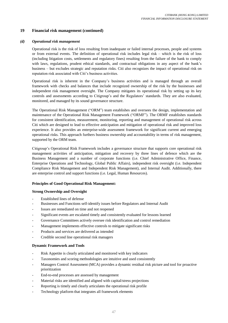#### *(d) Operational risk management*

Operational risk is the risk of loss resulting from inadequate or failed internal processes, people and systems or from external events. The definition of operational risk includes legal risk – which is the risk of loss (including litigation costs, settlements and regulatory fines) resulting from the failure of the bank to comply with laws, regulations, prudent ethical standards, and contractual obligations in any aspect of the bank's business – but excludes strategic and reputation risks. Citi also recognizes the impact of operational risk on reputation risk associated with Citi's business activities.

Operational risk is inherent in the Company's business activities and is managed through an overall framework with checks and balances that include recognized ownership of the risk by the businesses and independent risk management oversight. The Company mitigates its operational risk by setting up its key controls and assessments according to Citigroup's and the Regulators' standards. They are also evaluated, monitored, and managed by its sound governance structure.

The Operational Risk Management ("ORM") team establishes and oversees the design, implementation and maintenance of the Operational Risk Management Framework ("ORMF"). The ORMF establishes standards for consistent identification, measurement, monitoring, reporting and management of operational risk across Citi which are designed to lead to effective anticipation and mitigation of operational risk and improved loss experience. It also provides an enterprise-wide assessment framework for significant current and emerging operational risks. This approach furthers business ownership and accountability in terms of risk management, supported by the ORM team.

Citigroup's Operational Risk Framework includes a governance structure that supports core operational risk management activities of anticipation, mitigation and recovery by three lines of defence which are the Business Management and a number of corporate functions (i.e. Chief Administrative Office, Finance, Enterprise Operations and Technology, Global Public Affairs), independent risk oversight (i.e. Independent Compliance Risk Management and Independent Risk Management), and Internal Audit. Additionally, there are enterprise control and support functions (i.e. Legal, Human Resources).

## **Principles of Good Operational Risk Management:**

#### **Strong Ownership and Oversight**

- Established lines of defense
- Businesses and Functions self-identify issues before Regulators and Internal Audit
- Issues are remediated on time and not reopened
- Significant events are escalated timely and consistently evaluated for lessons learned
- Governance Committees actively oversee risk identification and control remediation
- Management implements effective controls to mitigate significant risks
- Products and services are delivered as intended
- Credible second line operational risk managers

## **Dynamic Framework and Tools**

- Risk Appetite is clearly articulated and monitored with key indicators
- Taxonomies and scoring methodologies are intuitive and used consistently
- Managers Control Assessment (MCA) provides a dynamic residual risk picture and tool for proactive prioritization
- End-to-end processes are assessed by management
- Material risks are identified and aligned with capital/stress projections
- Reporting is timely and clearly articulates the operational risk profile
- Technology platform that integrates all framework elements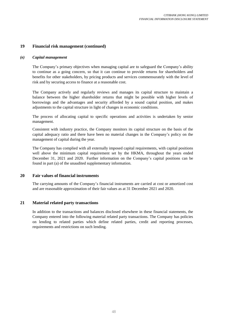## *(e) Capital management*

The Company's primary objectives when managing capital are to safeguard the Company's ability to continue as a going concern, so that it can continue to provide returns for shareholders and benefits for other stakeholders, by pricing products and services commensurately with the level of risk and by securing access to finance at a reasonable cost.

The Company actively and regularly reviews and manages its capital structure to maintain a balance between the higher shareholder returns that might be possible with higher levels of borrowings and the advantages and security afforded by a sound capital position, and makes adjustments to the capital structure in light of changes in economic conditions.

The process of allocating capital to specific operations and activities is undertaken by senior management.

Consistent with industry practice, the Company monitors its capital structure on the basis of the capital adequacy ratio and there have been no material changes in the Company's policy on the management of capital during the year.

The Company has complied with all externally imposed capital requirements, with capital positions well above the minimum capital requirement set by the HKMA, throughout the years ended December 31, 2021 and 2020. Further information on the Company's capital positions can be found in part (a) of the unaudited supplementary information.

# **20 Fair values of financial instruments**

The carrying amounts of the Company's financial instruments are carried at cost or amortized cost and are reasonable approximation of their fair values as at 31 December 2021 and 2020.

# **21 Material related party transactions**

In addition to the transactions and balances disclosed elsewhere in these financial statements, the Company entered into the following material related party transactions. The Company has policies on lending to related parties which define related parties, credit and reporting processes, requirements and restrictions on such lending.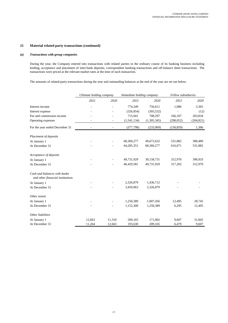# **21 Material related party transactions (continued)**

#### *(a) Transactions with group companies*

During the year, the Company entered into transactions with related parties in the ordinary course of its banking business including lending, acceptance and placement of inter-bank deposits, correspondent banking transactions and off-balance sheet transactions. The transactions were priced at the relevant market rates at the time of each transaction.

The amounts of related-party transactions during the year and outstanding balances at the end of the year are set out below:

|                                                                  | Ultimate holding company |        | Immediate holding company |             | Fellow subsidiaries |            |
|------------------------------------------------------------------|--------------------------|--------|---------------------------|-------------|---------------------|------------|
|                                                                  | 2021                     | 2020   | 2021                      | 2020        | 2021                | 2020       |
| Interest income                                                  |                          |        | 774,249                   | 756,611     | 1,086               | 2,365      |
| Interest expense                                                 |                          |        | (326, 854)                | (393, 532)  |                     | (12)       |
| Fee and commission income                                        |                          |        | 715,941                   | 708,297     | 166,107             | 203,834    |
| Operating expenses                                               | $\sim$                   | ۰      | (1, 541, 134)             | (1,305,345) | (298, 052)          | (204, 821) |
| For the year ended December 31                                   |                          |        | (377, 798)                | (233,969)   | (130, 859)          | 1,366      |
| Placement of deposits                                            |                          |        |                           |             |                     |            |
| At January 1                                                     |                          |        | 68,360,277                | 49,672,632  | 531,882             | 380,489    |
| At December 31                                                   |                          |        | 64,285,351                | 68,360,277  | 616,671             | 531,882    |
| Acceptance of deposits                                           |                          |        |                           |             |                     |            |
| At January 1                                                     |                          |        | 49,731,929                | 30,158,731  | 312,970             | 396,933    |
| At December 31                                                   |                          |        | 46,429,581                | 49,731,929  | 317,202             | 312,970    |
| Cash and balances with banks<br>and other financial institutions |                          |        |                           |             |                     |            |
| At January 1                                                     |                          |        | 2,326,879                 | 1,436,712   |                     |            |
| At December 31                                                   |                          |        | 3,459,963                 | 2,326,879   |                     |            |
| Other assets                                                     |                          |        |                           |             |                     |            |
| At January 1                                                     |                          |        | 1,250,389                 | 1,007,456   | 12,495              | 28,745     |
| At December 31                                                   |                          |        | 1,152,300                 | 1,250,389   | 6,295               | 12,495     |
| Other liabilities                                                |                          |        |                           |             |                     |            |
| At January 1                                                     | 12,663                   | 11,310 | 209,165                   | 171,002     | 9,607               | 31,845     |
| At December 31                                                   | 11,264                   | 12,663 | 193,630                   | 209,165     | 6,479               | 9,607      |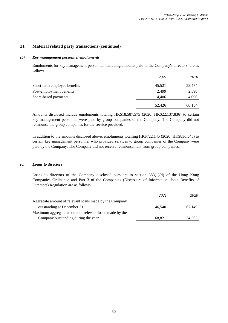# **21 Material related party transactions (continued)**

# *(b) Key management personnel emoluments*

Emoluments for key management personnel, including amounts paid to the Company's directors, are as follows:

|                              | 2021   | 2020   |
|------------------------------|--------|--------|
| Short-term employee benefits | 45,521 | 53,474 |
| Post-employment benefits     | 2.499  | 2,590  |
| Share-based payments         | 4.406  | 4,090  |
|                              | 52,426 | 60.154 |

Amounts disclosed include emoluments totaling HK\$18,587,575 (2020: HK\$22,137,836) to certain key management personnel were paid by group companies of the Company. The Company did not reimburse the group companies for the service provided.

In addition to the amounts disclosed above, emoluments totalling HK\$722,145 (2020: HK\$836,545) to certain key management personnel who provided services to group companies of the Company were paid by the Company. The Company did not receive reimbursement from group companies.

## *(c) Loans to directors*

Loans to directors of the Company disclosed pursuant to section 383(1)(d) of the Hong Kong Companies Ordinance and Part 3 of the Companies (Disclosure of Information about Benefits of Directors) Regulation are as follows:

|                                                        | 2021   | 2020   |
|--------------------------------------------------------|--------|--------|
| Aggregate amount of relevant loans made by the Company |        |        |
| outstanding at December 31                             | 46.540 | 67.149 |
| Maximum aggregate amount of relevant loans made by the |        |        |
| Company outstanding during the year                    | 68.821 | 74,502 |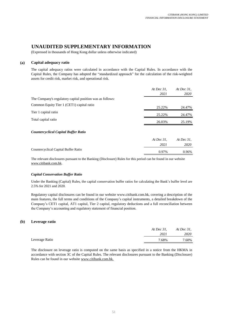0.97% 0.96%

# **UNAUDITED SUPPLEMENTARY INFORMATION**

(Expressed in thousands of Hong Kong dollar unless otherwise indicated)

# **(a) Capital adequacy ratio**

The capital adequacy ratios were calculated in accordance with the Capital Rules. In accordance with the Capital Rules, the Company has adopted the "standardized approach" for the calculation of the risk-weighted assets for credit risk, market risk, and operational risk.

|                                                           | At Dec $31$ , | At Dec $31$ , |
|-----------------------------------------------------------|---------------|---------------|
|                                                           | 2021          | 2020          |
| The Company's regulatory capital position was as follows: |               |               |
| Common Equity Tier 1 (CET1) capital ratio                 | 25.22%        | 24.47%        |
| Tier 1 capital ratio                                      | 25.22%        | 24.47%        |
| Total capital ratio                                       | 26.03%        | 25.19%        |
| <b>Countercyclical Capital Buffer Ratio</b>               |               |               |
|                                                           | At Dec $31$ . | At Dec $31$ , |
|                                                           | 2021          | 2020          |
| Countercyclical Capital Buffer Ratio                      | 0.070         | 0.0001        |

The relevant disclosures pursuant to the Banking (Disclosure) Rules for this period can be found in our website www.citibank.com.hk.

## *Capital Conservation Buffer Ratio*

Under the Banking (Capital) Rules, the capital conservation buffer ratios for calculating the Bank's buffer level are 2.5% for 2021 and 2020.

Regulatory capital disclosures can be found in our website www.citibank.com.hk, covering a description of the main features, the full terms and conditions of the Company's capital instruments, a detailed breakdown of the Company's CET1 capital, AT1 capital, Tier 2 capital, regulatory deductions and a full reconciliation between the Company's accounting and regulatory statement of financial position.

## **(b) Leverage ratio**

|                | At Dec 31. | At Dec 31, |
|----------------|------------|------------|
|                | 2021       | 2020       |
| Leverage Ratio | 7.68%      | 7.60%      |
|                |            |            |

The disclosure on leverage ratio is computed on the same basis as specified in a notice from the HKMA in accordance with section 3C of the Capital Rules. The relevant disclosures pursuant to the Banking (Disclosure) Rules can be found in our website www.citibank.com.hk.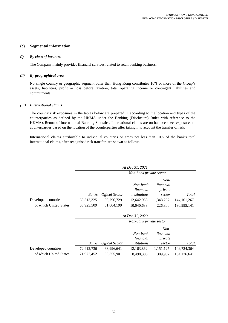## **(c) Segmental information**

#### *(i) By class of business*

The Company mainly provides financial services related to retail banking business.

#### *(ii) By geographical area*

No single country or geographic segment other than Hong Kong contributes 10% or more of the Group's assets, liabilities, profit or loss before taxation, total operating income or contingent liabilities and commitments.

#### *(iii) International claims*

The country risk exposures in the tables below are prepared in according to the location and types of the counterparties as defined by the HKMA under the Banking (Disclosure) Rules with reference to the HKMA's Return of International Banking Statistics. International claims are on-balance sheet exposures to counterparties based on the location of the counterparties after taking into account the transfer of risk.

International claims attributable to individual countries or areas not less than 10% of the bank's total international claims, after recognised risk transfer, are shown as follows:

|                        | At Dec 31, 2021 |                              |                                       |                                          |               |  |
|------------------------|-----------------|------------------------------|---------------------------------------|------------------------------------------|---------------|--|
|                        |                 |                              | Non-bank private sector               |                                          |               |  |
|                        | <b>Banks</b>    | <i><b>Offical Sector</b></i> | Non-bank<br>financial<br>institutions | $Non-$<br>financial<br>private<br>sector | Total         |  |
| Developed countries    | 69, 313, 325    | 60,796,729                   | 12,642,956                            | 1,348,257                                | 144, 101, 267 |  |
| of which United States | 68,923,509      | 51,804,199                   | 10,040,633                            | 226,800                                  | 130,995,141   |  |
|                        |                 |                              |                                       |                                          |               |  |
|                        |                 |                              | Non-bank private sector               |                                          |               |  |
|                        |                 |                              | Non-bank<br>financial                 | $Non-$<br>financial<br>private           |               |  |
|                        | <b>Banks</b>    | <b>Offical Sector</b>        | institutions                          | sector                                   | Total         |  |
| Developed countries    | 72,412,736      | 63,996,641                   | 12,163,862                            | 1,151,125                                | 149,724,364   |  |
| of which United States | 71,972,452      | 53,355,901                   | 8,498,386                             | 309,902                                  | 134, 136, 641 |  |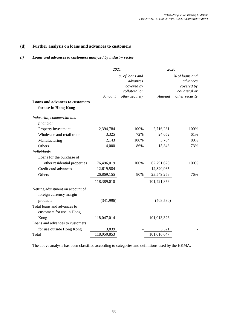# **(d) Further analysis on loans and advances to customers**

# *(i) Loans and advances to customers analyzed by industry sector*

|                                                             | 2021        |                       | 2020        |                       |
|-------------------------------------------------------------|-------------|-----------------------|-------------|-----------------------|
|                                                             |             | % of loans and        |             | % of loans and        |
|                                                             |             | advances              |             | advances              |
|                                                             |             | covered by            |             | covered by            |
|                                                             |             | collateral or         |             | collateral or         |
| <b>Loans and advances to customers</b>                      | Amount      | <i>other security</i> | Amount      | <i>other security</i> |
|                                                             |             |                       |             |                       |
| for use in Hong Kong                                        |             |                       |             |                       |
| Industrial, commercial and                                  |             |                       |             |                       |
| financial                                                   |             |                       |             |                       |
| Property investment                                         | 2,394,784   | 100%                  | 2,716,231   | 100%                  |
| Wholesale and retail trade                                  | 3,325       | 72%                   | 24,652      | 61%                   |
| Manufacturing                                               | 2,143       | 100%                  | 3,784       | 80%                   |
| Others                                                      | 4,000       | 86%                   | 15,348      | 73%                   |
| <b>Individuals</b>                                          |             |                       |             |                       |
| Loans for the purchase of                                   |             |                       |             |                       |
| other residential properties                                | 76,496,019  | 100%                  | 62,791,623  | 100%                  |
| Credit card advances                                        | 12,619,584  |                       | 12,320,965  |                       |
| Others                                                      | 26,869,155  | 80%                   | 23,549,253  | 76%                   |
|                                                             | 118,389,010 |                       | 101,421,856 |                       |
| Netting adjustment on account of<br>foreign currency margin |             |                       |             |                       |
| products                                                    | (341,996)   |                       | (408, 530)  |                       |
| Total loans and advances to<br>customers for use in Hong    |             |                       |             |                       |
| Kong                                                        | 118,047,014 |                       | 101,013,326 |                       |
| Loans and advances to customers                             |             |                       |             |                       |
| for use outside Hong Kong                                   | 3,839       |                       | 3,321       |                       |
| Total                                                       | 118,050,853 |                       | 101,016,647 |                       |

The above analysis has been classified according to categories and definitions used by the HKMA.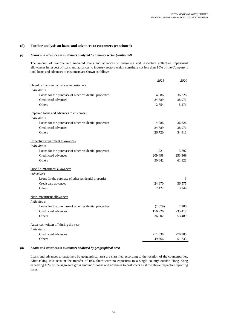#### **(d) Further analysis on loans and advances to customers (continued)**

#### *(i) Loans and advances to customers analyzed by industry sector (continued)*

The amount of overdue and impaired loans and advances to customers and respective collective impairment allowances in respect of loans and advances to industry sectors which constitute not less than 10% of the Company's total loans and advances to customers are shown as follows:

|                                                        | 2021    | 2020    |
|--------------------------------------------------------|---------|---------|
| Overdue loans and advances to customers                |         |         |
| <b>Individuals</b>                                     |         |         |
| Loans for the purchase of other residential properties | 4,086   | 36,226  |
| Credit card advances                                   | 24,789  | 38,971  |
| Others                                                 | 2,754   | 5.271   |
| Impaired loans and advances to customers               |         |         |
| <i>Individuals</i>                                     |         |         |
| Loans for the purchase of other residential properties | 4,086   | 36,226  |
| Credit card advances                                   | 24,789  | 38,971  |
| Others                                                 | 26,720  | 34,411  |
| Collective impairment allowances                       |         |         |
| <b>Individuals</b>                                     |         |         |
| Loans for the purchase of other residential properties | 1,921   | 3,597   |
| Credit card advances                                   | 209,498 | 253,369 |
| Others                                                 | 50,642  | 61,121  |
| Specific impairment allowances                         |         |         |
| <b>Individuals</b>                                     |         |         |
| Loans for the purchase of other residential properties |         | 3       |
| Credit card advances                                   | 24,670  | 36,575  |
| Others                                                 | 2,422   | 3,244   |
| New impairment allowances                              |         |         |
| <b>Individuals</b>                                     |         |         |
| Loans for the purchase of other residential properties | (1,679) | 2,200   |
| Credit card advances                                   | 156,926 | 235,412 |
| Others                                                 | 36,802  | 53,489  |
| Advances written off during the year                   |         |         |
| <b>Individuals</b>                                     |         |         |
| Credit card advances                                   | 211,038 | 270,985 |
| <b>Others</b>                                          | 49,766  | 51,733  |

#### *(ii) Loans and advances to customers analyzed by geographical area*

Loans and advances to customers by geographical area are classified according to the location of the counterparties. After taking into account the transfer of risk, there were no exposures to a single country outside Hong Kong exceeding 10% of the aggregate gross amount of loans and advances to customers as at the above respective reporting dates.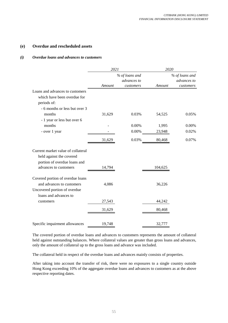# **(e) Overdue and rescheduled assets**

# *(i) Overdue loans and advances to customers*

|                                                                                               | 2021   |                | 2020    |                |  |
|-----------------------------------------------------------------------------------------------|--------|----------------|---------|----------------|--|
|                                                                                               |        | % of loans and |         | % of loans and |  |
|                                                                                               |        | advances to    |         | advances to    |  |
|                                                                                               | Amount | customers      | Amount  | customers      |  |
| Loans and advances to customers                                                               |        |                |         |                |  |
| which have been overdue for                                                                   |        |                |         |                |  |
| periods of:                                                                                   |        |                |         |                |  |
| - 6 months or less but over 3                                                                 |        |                |         |                |  |
| months                                                                                        | 31,629 | 0.03%          | 54,525  | 0.05%          |  |
| - 1 year or less but over 6                                                                   |        |                |         |                |  |
| months                                                                                        |        | 0.00%          | 1,995   | 0.00%          |  |
| - over 1 year                                                                                 |        | $0.00\%$       | 23,948  | 0.02%          |  |
|                                                                                               | 31,629 | 0.03%          | 80,468  | 0.07%          |  |
| Current market value of collateral<br>held against the covered                                |        |                |         |                |  |
| portion of overdue loans and<br>advances to customers                                         | 14,794 |                | 104,625 |                |  |
| Covered portion of overdue loans<br>and advances to customers<br>Uncovered portion of overdue | 4,086  |                | 36,226  |                |  |
| loans and advances to<br>customers                                                            | 27,543 |                | 44,242  |                |  |
|                                                                                               | 31,629 |                | 80,468  |                |  |
|                                                                                               |        |                |         |                |  |
| Specific impairment allowances                                                                | 19,748 |                | 32,777  |                |  |

The covered portion of overdue loans and advances to customers represents the amount of collateral held against outstanding balances. Where collateral values are greater than gross loans and advances, only the amount of collateral up to the gross loans and advance was included.

The collateral held in respect of the overdue loans and advances mainly consists of properties.

After taking into account the transfer of risk, there were no exposures to a single country outside Hong Kong exceeding 10% of the aggregate overdue loans and advances to customers as at the above respective reporting dates.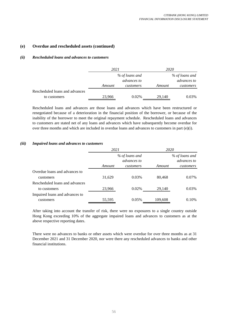# **(e) Overdue and rescheduled assets (continued)**

# *(ii) Rescheduled loans and advances to customers*

|                                | 2021   |                               | 2020   |                               |  |
|--------------------------------|--------|-------------------------------|--------|-------------------------------|--|
|                                |        | % of loans and<br>advances to |        | % of loans and<br>advances to |  |
|                                | Amount | customers                     | Amount | customers                     |  |
| Rescheduled loans and advances |        |                               |        |                               |  |
| to customers                   | 23,966 | 0.02%                         | 29,140 | 0.03%                         |  |

Rescheduled loans and advances are those loans and advances which have been restructured or renegotiated because of a deterioration in the financial position of the borrower, or because of the inability of the borrower to meet the original repayment schedule. Rescheduled loans and advances to customers are stated net of any loans and advances which have subsequently become overdue for over three months and which are included in overdue loans and advances to customers in part  $(e)(i)$ .

# *(iii) Impaired loans and advances to customers*

|                                | 2021   |                                      | 2020    |                               |  |
|--------------------------------|--------|--------------------------------------|---------|-------------------------------|--|
|                                |        | % of loans and<br><i>advances to</i> |         | % of loans and<br>advances to |  |
|                                | Amount | customers                            | Amount  | customers                     |  |
| Overdue loans and advances to  |        |                                      |         |                               |  |
| customers                      | 31,629 | 0.03%                                | 80,468  | 0.07%                         |  |
| Rescheduled loans and advances |        |                                      |         |                               |  |
| to customers                   | 23,966 | 0.02%                                | 29,140  | 0.03%                         |  |
| Impaired loans and advances to |        |                                      |         |                               |  |
| customers                      | 55,595 | 0.05%                                | 109,608 | 0.10%                         |  |

After taking into account the transfer of risk, there were no exposures to a single country outside Hong Kong exceeding 10% of the aggregate impaired loans and advances to customers as at the above respective reporting dates.

There were no advances to banks or other assets which were overdue for over three months as at 31 December 2021 and 31 December 2020, nor were there any rescheduled advances to banks and other financial institutions.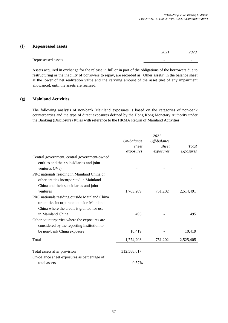# **(f) Repossessed assets** *2021 2020* Repossessed assets  $\overline{\phantom{a}}$

Assets acquired in exchange for the release in full or in part of the obligations of the borrowers due to restructuring or the inability of borrowers to repay, are recorded as "Other assets" in the balance sheet at the lower of net realization value and the carrying amount of the asset (net of any impairment allowance), until the assets are realized.

# **(g) Mainland Activities**

The following analysis of non-bank Mainland exposures is based on the categories of non-bank counterparties and the type of direct exposures defined by the Hong Kong Monetary Authority under the Banking (Disclosure) Rules with reference to the HKMA Return of Mainland Activities.

|                                               |             | 2021        |           |
|-----------------------------------------------|-------------|-------------|-----------|
|                                               | On-balance  | Off-balance |           |
|                                               | sheet       | sheet       | Total     |
|                                               | exposures   | exposures   | exposures |
| Central government, central government-owned  |             |             |           |
| entities and their subsidiaries and joint     |             |             |           |
| ventures $(JVs)$                              |             |             |           |
| PRC nationals residing in Mainland China or   |             |             |           |
| other entities incorporated in Mainland       |             |             |           |
| China and their subsidiaries and joint        |             |             |           |
| ventures                                      | 1,763,289   | 751,202     | 2,514,491 |
| PRC nationals residing outside Mainland China |             |             |           |
| or entities incorporated outside Mainland     |             |             |           |
| China where the credit is granted for use     |             |             |           |
| in Mainland China                             | 495         |             | 495       |
| Other counterparties where the exposures are  |             |             |           |
| considered by the reporting institution to    |             |             |           |
| be non-bank China exposure                    | 10,419      |             | 10,419    |
| Total                                         | 1,774,203   | 751,202     | 2,525,405 |
|                                               |             |             |           |
| Total assets after provision                  | 312,588,617 |             |           |
| On-balance sheet exposures as percentage of   |             |             |           |
| total assets                                  | 0.57%       |             |           |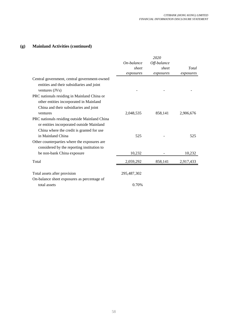# **(g) Mainland Activities (continued)**

|                                               |             | 2020        |           |
|-----------------------------------------------|-------------|-------------|-----------|
|                                               | On-balance  | Off-balance |           |
|                                               | sheet       | sheet       | Total     |
|                                               | exposures   | exposures   | exposures |
| Central government, central government-owned  |             |             |           |
| entities and their subsidiaries and joint     |             |             |           |
| ventures $(JVs)$                              |             |             |           |
| PRC nationals residing in Mainland China or   |             |             |           |
| other entities incorporated in Mainland       |             |             |           |
| China and their subsidiaries and joint        |             |             |           |
| ventures                                      | 2,048,535   | 858,141     | 2,906,676 |
| PRC nationals residing outside Mainland China |             |             |           |
| or entities incorporated outside Mainland     |             |             |           |
| China where the credit is granted for use     |             |             |           |
| in Mainland China                             | 525         |             | 525       |
| Other counterparties where the exposures are  |             |             |           |
| considered by the reporting institution to    |             |             |           |
| be non-bank China exposure                    | 10,232      |             | 10,232    |
| Total                                         | 2,059,292   | 858,141     | 2,917,433 |
|                                               |             |             |           |
| Total assets after provision                  | 295,487,302 |             |           |
| On-balance sheet exposures as percentage of   |             |             |           |
| total assets                                  | 0.70%       |             |           |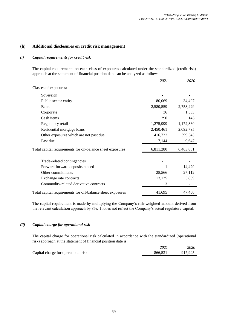# **(h) Additional disclosures on credit risk management**

# *(i) Capital requirements for credit risk*

The capital requirements on each class of exposures calculated under the standardized (credit risk) approach at the statement of financial position date can be analyzed as follows:

|                                                            | 2021       | 2020      |
|------------------------------------------------------------|------------|-----------|
| Classes of exposures:                                      |            |           |
| Sovereign                                                  |            |           |
| Public sector entity                                       | 80,069     | 34,407    |
| <b>Bank</b>                                                | 2,580,559  | 2,753,429 |
| Corporate                                                  | 36         | 1,533     |
| Cash items                                                 | <b>290</b> | 145       |
| Regulatory retail                                          | 1,275,999  | 1,172,360 |
| Residential mortgage loans                                 | 2,450,461  | 2,092,795 |
| Other exposures which are not past due                     | 416,722    | 399,545   |
| Past due                                                   | 7,144      | 9,647     |
| Total capital requirements for on-balance sheet exposures  | 6,811,280  | 6,463,861 |
| Trade-related contingencies                                |            |           |
| Forward forward deposits placed                            |            | 14,429    |
| Other commitments                                          | 28,566     | 27,112    |
| Exchange rate contracts                                    | 13,125     | 5,859     |
| Commodity-related derivative contracts                     | 3          |           |
| Total capital requirements for off-balance sheet exposures | 41,695     | 47,400    |

The capital requirement is made by multiplying the Company's risk-weighted amount derived from the relevant calculation approach by 8%. It does not reflect the Company's actual regulatory capital.

# *(ii) Capital charge for operational risk*

The capital charge for operational risk calculated in accordance with the standardized (operational risk) approach at the statement of financial position date is:

|                                     | 2021    | 2020-   |
|-------------------------------------|---------|---------|
| Capital charge for operational risk | 866.531 | 917.945 |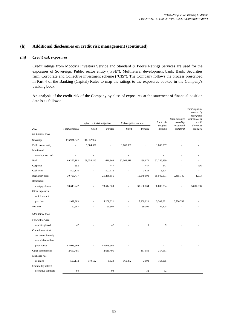# *(iii) Credit risk exposures*

Credit ratings from Moody's Investors Service and Standard & Poor's Ratings Services are used for the exposures of Sovereign, Public sector entity ("PSE"), Multilateral development bank, Bank, Securities firm, Corporate and Collective investment scheme ("CIS"). The Company follows the process prescribed in Part 4 of the Banking (Capital) Rules to map the ratings to the exposures booked in the Company's banking book.

An analysis of the credit risk of the Company by class of exposures at the statement of financial position date is as follows:

|                      |                 | After credit risk mitigation |            | Risk-weighted amounts |                | Total risk-         | Total exposure<br>covered by | Total exposure<br>covered by<br>recognized<br>guarantees or<br>credit |
|----------------------|-----------------|------------------------------|------------|-----------------------|----------------|---------------------|------------------------------|-----------------------------------------------------------------------|
| 2021                 | Total exposures | Rated                        | Unrated    | Rated                 | <b>Unrated</b> | weighted<br>amounts | recognized<br>collateral     | derivative<br>contracts                                               |
| On-balance sheet     |                 |                              |            |                       |                |                     |                              |                                                                       |
| Sovereign            | 116,931,547     | 116,932,967                  |            |                       |                |                     |                              |                                                                       |
| Public sector entity |                 | 5,004,337                    |            | 1,000,867             |                | 1,000,867           |                              |                                                                       |
| Multilateral         |                 |                              |            |                       |                |                     |                              |                                                                       |
| development bank     |                 |                              |            |                       |                |                     |                              |                                                                       |
| Bank                 | 69,272,103      | 68,655,240                   | 616,863    | 32,068,318            | 188,671        | 32,256,989          |                              |                                                                       |
| Corporate            | 853             |                              | 447        |                       | 447            | 447                 |                              | 406                                                                   |
| Cash items           | 502,176         |                              | 502,176    |                       | 3,624          | 3,624               |                              |                                                                       |
| Regulatory retail    | 30,753,417      |                              | 21,266,655 | ä,                    | 15,949,991     | 15,949,991          | 9,485,749                    | 1,013                                                                 |
| Residential          |                 |                              |            |                       |                |                     |                              |                                                                       |
| mortgage loans       | 78,649,247      |                              | 73,644,909 |                       | 30,630,764     | 30,630,764          |                              | 5,004,338                                                             |
| Other exposures      |                 |                              |            |                       |                |                     |                              |                                                                       |
| which are not        |                 |                              |            |                       |                |                     |                              |                                                                       |
| past due             | 11,939,803      |                              | 5,209,021  |                       | 5,209,021      | 5,209,021           | 6,730,782                    |                                                                       |
| Past due             | 60,902          |                              | 60,902     |                       | 89,305         | 89,305              |                              |                                                                       |
| Off-balance sheet    |                 |                              |            |                       |                |                     |                              |                                                                       |
| Forward forward      |                 |                              |            |                       |                |                     |                              |                                                                       |
| deposits placed      | 47              |                              | 47         |                       | 9              | 9                   |                              |                                                                       |
| Commitments that     |                 |                              |            |                       |                |                     |                              |                                                                       |
| are unconditionally  |                 |                              |            |                       |                |                     |                              |                                                                       |
| cancellable without  |                 |                              |            |                       |                |                     |                              |                                                                       |
| prior notice         | 82,048,560      |                              | 82,048,560 |                       |                |                     |                              |                                                                       |
| Other commitments    | 2,619,495       |                              | 2,619,495  |                       | 357,081        | 357,081             |                              |                                                                       |
| Exchange rate        |                 |                              |            |                       |                |                     |                              |                                                                       |
| contracts            | 559,112         | 549,592                      | 9,520      | 160,472               | 3,593          | 164,065             |                              |                                                                       |
| Commodity-related    |                 |                              |            |                       |                |                     |                              |                                                                       |
| derivative contracts | 94              |                              | 94         |                       | 32             | 32                  |                              |                                                                       |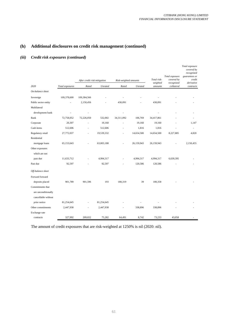# *(iii) Credit risk exposures (continued)*

|                      |                 |                              |                |                       |                |                         | Total exposure           | Total exposure<br>covered by<br>recognized<br>guarantees or |
|----------------------|-----------------|------------------------------|----------------|-----------------------|----------------|-------------------------|--------------------------|-------------------------------------------------------------|
|                      |                 | After credit risk mitigation |                | Risk-weighted amounts |                | Total risk-<br>weighted | covered by<br>recognized | credit<br>derivative                                        |
| 2020                 | Total exposures | Rated                        | <b>Unrated</b> | Rated                 | <b>Unrated</b> | amounts                 | collateral               | contracts                                                   |
| On-balance sheet     |                 |                              |                |                       |                |                         |                          |                                                             |
| Sovereign            | 109,378,600     | 109,384,566                  |                |                       |                |                         |                          |                                                             |
| Public sector entity |                 | 2,150,456                    |                | 430,091               |                | 430,091                 |                          |                                                             |
| Multilateral         |                 |                              |                |                       |                |                         |                          |                                                             |
| development bank     |                 |                              |                |                       |                |                         |                          |                                                             |
| Bank                 | 72,758,052      | 72,226,050                   | 532,002        | 34,311,092            | 106,769        | 34,417,861              |                          |                                                             |
| Corporate            | 20,307          |                              | 19,160         |                       | 19,160         | 19,160                  |                          | 1,147                                                       |
| Cash items           | 512,606         |                              | 512,606        |                       | 1,816          | 1,816                   |                          |                                                             |
| Regulatory retail    | 27,772,037      |                              | 19,539,332     |                       | 14,654,500     | 14,654,500              | 8,227,885                | 4,820                                                       |
| Residential          |                 |                              |                |                       |                |                         |                          |                                                             |
| mortgage loans       | 65,153,643      |                              | 63,003,188     |                       | 26,159,943     | 26,159,943              |                          | 2,150,455                                                   |
| Other exposures      |                 |                              |                |                       |                |                         |                          |                                                             |
| which are not        |                 |                              |                |                       |                |                         |                          |                                                             |
| past due             | 11,633,712      |                              | 4,994,317      |                       | 4,994,317      | 4,994,317               | 6,639,395                |                                                             |
| Past due             | 92,597          |                              | 92,597         |                       | 120,586        | 120,586                 |                          |                                                             |
| Off-balance sheet    |                 |                              |                |                       |                |                         |                          |                                                             |
| Forward forward      |                 |                              |                |                       |                |                         |                          |                                                             |
| deposits placed      | 901,789         | 901,596                      | 193            | 180,319               | 39             | 180,358                 |                          |                                                             |
| Commitments that     |                 |                              |                |                       |                |                         |                          |                                                             |
| are unconditionally  |                 |                              |                |                       |                |                         |                          |                                                             |
| cancellable without  |                 |                              |                |                       |                |                         |                          |                                                             |
| prior notice         | 81,254,645      |                              | 81,254,645     |                       |                |                         |                          |                                                             |
| Other commitments    | 2,447,938       |                              | 2,447,938      |                       | 338,896        | 338,896                 |                          |                                                             |
| Exchange rate        |                 |                              |                |                       |                |                         |                          |                                                             |
| contracts            | 327,992         | 209,652                      | 75,282         | 64,491                | 8,742          | 73,233                  | 43,058                   |                                                             |

The amount of credit exposures that are risk-weighted at 1250% is nil (2020: nil).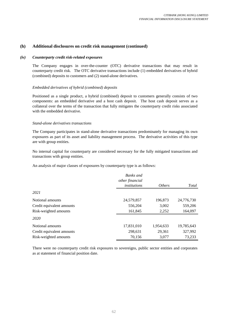#### *(iv) Counterparty credit risk-related exposures*

The Company engages in over-the-counter (OTC) derivative transactions that may result in counterparty credit risk. The OTC derivative transactions include (1) embedded derivatives of hybrid (combined) deposits to customers and (2) stand-alone derivatives.

#### *Embedded derivatives of hybrid (combined) deposits*

Positioned as a single product, a hybrid (combined) deposit to customers generally consists of two components: an embedded derivative and a host cash deposit. The host cash deposit serves as a collateral over the terms of the transaction that fully mitigates the counterparty credit risks associated with the embedded derivative.

#### *Stand-alone derivatives transactions*

The Company participates in stand-alone derivative transactions predominately for managing its own exposures as part of its asset and liability management process. The derivative activities of this type are with group entities.

No internal capital for counterparty are considered necessary for the fully mitigated transactions and transactions with group entities.

An analysis of major classes of exposures by counterparty type is as follows:

|                           | Banks and<br>other financial |               |            |
|---------------------------|------------------------------|---------------|------------|
|                           | institutions                 | <i>Others</i> | Total      |
| 2021                      |                              |               |            |
| Notional amounts          | 24,579,857                   | 196,873       | 24,776,730 |
| Credit equivalent amounts | 556,204                      | 3,002         | 559,206    |
| Risk-weighted amounts     | 161,845                      | 2,252         | 164,097    |
| 2020                      |                              |               |            |
| Notional amounts          | 17,831,010                   | 1,954,633     | 19,785,643 |
| Credit equivalent amounts | 298,631                      | 29,361        | 327,992    |
| Risk-weighted amounts     | 70,156                       | 3,077         | 73,233     |

There were no counterparty credit risk exposures to sovereigns, public sector entities and corporates as at statement of financial position date.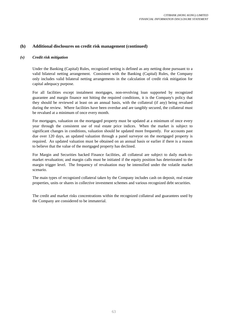# *(v) Credit risk mitigation*

Under the Banking (Capital) Rules, recognized netting is defined as any netting done pursuant to a valid bilateral netting arrangement. Consistent with the Banking (Capital) Rules, the Company only includes valid bilateral netting arrangements in the calculation of credit risk mitigation for capital adequacy purpose.

For all facilities except instalment mortgages, non-revolving loan supported by recognized guarantee and margin finance not hitting the required conditions, it is the Company's policy that they should be reviewed at least on an annual basis, with the collateral (if any) being revalued during the review. Where facilities have been overdue and are tangibly secured, the collateral must be revalued at a minimum of once every month.

For mortgages, valuation on the mortgaged property must be updated at a minimum of once every year through the consistent use of real estate price indices. When the market is subject to significant changes in conditions, valuation should be updated more frequently. For accounts past due over 120 days, an updated valuation through a panel surveyor on the mortgaged property is required. An updated valuation must be obtained on an annual basis or earlier if there is a reason to believe that the value of the mortgaged property has declined.

For Margin and Securities backed Finance facilities, all collateral are subject to daily mark-tomarket revaluation; and margin calls must be initiated if the equity position has deteriorated to the margin trigger level. The frequency of revaluation may be intensified under the volatile market scenario.

The main types of recognized collateral taken by the Company includes cash on deposit, real estate properties, units or shares in collective investment schemes and various recognized debt securities.

The credit and market risks concentrations within the recognized collateral and guarantees used by the Company are considered to be immaterial.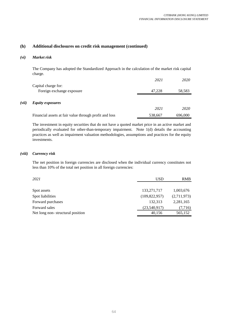# *(vi) Market risk*

The Company has adopted the Standardized Approach in the calculation of the market risk capital charge.

|       |                                                        | 2021    | 2020    |
|-------|--------------------------------------------------------|---------|---------|
|       | Capital charge for:                                    |         |         |
|       | Foreign exchange exposure                              | 47.228  | 58,583  |
|       |                                                        |         |         |
| (vii) | <b>Equity exposures</b>                                |         |         |
|       |                                                        | 2021    | 2020    |
|       | Financial assets at fair value through profit and loss | 538,667 | 696,000 |

The investment in equity securities that do not have a quoted market price in an active market and periodically evaluated for other-than-temporary impairment. Note 1(d) details the accounting practices as well as impairment valuation methodologies, assumptions and practices for the equity investments.

## *(viii) Currency risk*

The net position in foreign currencies are disclosed when the individual currency constitutes not less than 10% of the total net position in all foreign currencies:

| 2021                             | USD             | <b>RMB</b>  |
|----------------------------------|-----------------|-------------|
|                                  |                 |             |
| Spot assets                      | 133, 271, 717   | 1,003,676   |
| Spot liabilities                 | (109, 822, 957) | (2,711,973) |
| Forward purchases                | 132.313         | 2,281,165   |
| Forward sales                    | (23,540,917)    | (7,716)     |
| Net long non-structural position | 40,156          | 565,152     |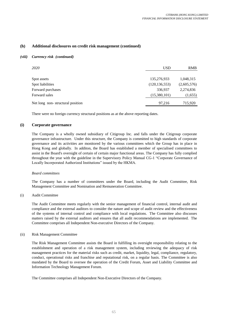#### *(viii) Currency risk (continued)*

| 2020                             | <b>USD</b>      | <b>RMB</b>  |
|----------------------------------|-----------------|-------------|
|                                  |                 |             |
| Spot assets                      | 135,276,933     | 1,048,315   |
| Spot liabilities                 | (120, 136, 553) | (2,605,576) |
| Forward purchases                | 336,937         | 2,274,836   |
| Forward sales                    | (15,380,101)    | (1,655)     |
| Net long non-structural position | 97.216          | 715,920     |

There were no foreign currency structural positions as at the above reporting dates.

#### **(i) Corporate governance**

The Company is a wholly owned subsidiary of Citigroup Inc. and falls under the Citigroup corporate governance infrastructure. Under this structure, the Company is committed to high standards of corporate governance and its activities are monitored by the various committees which the Group has in place in Hong Kong and globally. In additon, the Board has established a member of specialised committees to assist in the Board's oversight of certain of certain major functional areas. The Company has fully complied throughout the year with the guideline in the Supervisory Policy Manual CG-1 "Corporate Governance of Locally Incorporated Authorized Institutions" issued by the HKMA.

#### *Board committees*

The Company has a number of committees under the Board, including the Audit Committee, Risk Management Committee and Nomination and Remuneration Committee.

#### (i) Audit Committee

The Audit Committee meets regularly with the senior management of financial control, internal audit and compliance and the external auditors to consider the nature and scope of audit review and the effectiveness of the systems of internal control and compliance with local regulations. The Committee also discusses matters raised by the external auditors and ensures that all audit recommendations are implemented. The Committee comprises all Independent Non-executive Directors of the Company.

#### (ii) Risk Management Committee

The Risk Management Committee assists the Board in fulfilling its oversight responsibility relating to the establishment and operation of a risk management system, including reviewing the adequacy of risk management practices for the material risks such as credit, market, liquidity, legal, compliance, regulatory, conduct, operational risks and franchise and reputational risk, on a regular basis. The Committee is also mandated by the Board to oversee the operation of the Credit Forum, Asset and Liability Committee and Information Technology Management Forum.

The Committee comprises all Independent Non-Executive Directors of the Company.